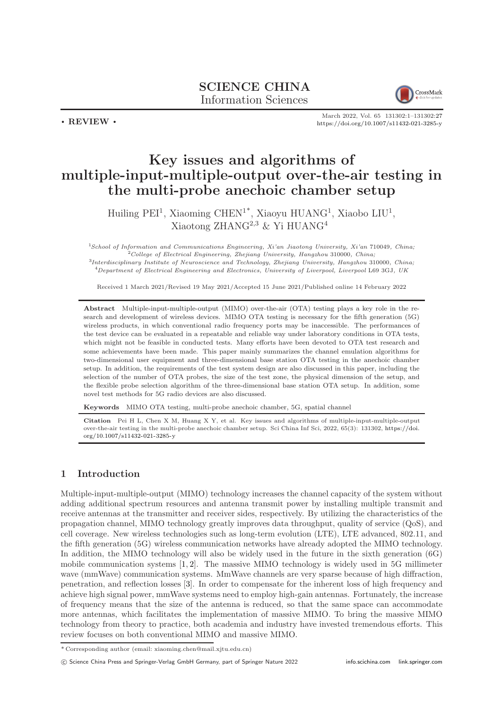SCIENCE CHINA Information Sciences



March 2022, Vol. 65 131302:1–131302[:27](#page-26-0) <https://doi.org/10.1007/s11432-021-3285-y>

# Key issues and algorithms of multiple-input-multiple-output over-the-air testing in the multi-probe anechoic chamber setup

Huiling PEI<sup>1</sup>, Xiaoming CHEN<sup>1\*</sup>, Xiaoyu HUANG<sup>1</sup>, Xiaobo LIU<sup>1</sup>, Xiaotong ZHANG2,3 & Yi HUANG<sup>4</sup>

<sup>1</sup>School of Information and Communications Engineering, Xi'an Jiaotong University, Xi'an 710049, China;  $^{2}$ College of Electrical Engineering, Zhejiang University, Hangzhou 310000, China; 3 Interdisciplinary Institute of Neuroscience and Technology, Zhejiang University, Hangzhou 310000, China;  $^{4}$ Department of Electrical Engineering and Electronics, University of Liverpool, Liverpool L69 3GJ, UK

Received 1 March 2021/Revised 19 May 2021/Accepted 15 June 2021/Published online 14 February 2022

Abstract Multiple-input-multiple-output (MIMO) over-the-air (OTA) testing plays a key role in the research and development of wireless devices. MIMO OTA testing is necessary for the fifth generation (5G) wireless products, in which conventional radio frequency ports may be inaccessible. The performances of the test device can be evaluated in a repeatable and reliable way under laboratory conditions in OTA tests, which might not be feasible in conducted tests. Many efforts have been devoted to OTA test research and some achievements have been made. This paper mainly summarizes the channel emulation algorithms for two-dimensional user equipment and three-dimensional base station OTA testing in the anechoic chamber setup. In addition, the requirements of the test system design are also discussed in this paper, including the selection of the number of OTA probes, the size of the test zone, the physical dimension of the setup, and the flexible probe selection algorithm of the three-dimensional base station OTA setup. In addition, some novel test methods for 5G radio devices are also discussed.

Keywords MIMO OTA testing, multi-probe anechoic chamber, 5G, spatial channel

Citation Pei H L, Chen X M, Huang X Y, et al. Key issues and algorithms of multiple-input-multiple-output over-the-air testing in the multi-probe anechoic chamber setup. Sci China Inf Sci, 2022, 65(3): 131302, [https://doi.](https://doi.org/10.1007/s11432-021-3285-y) [org/10.1007/s11432-021-3285-y](https://doi.org/10.1007/s11432-021-3285-y)

# 1 Introduction

. REVIEW .

Multiple-input-multiple-output (MIMO) technology increases the channel capacity of the system without adding additional spectrum resources and antenna transmit power by installing multiple transmit and receive antennas at the transmitter and receiver sides, respectively. By utilizing the characteristics of the propagation channel, MIMO technology greatly improves data throughput, quality of service (QoS), and cell coverage. New wireless technologies such as long-term evolution (LTE), LTE advanced, 802.11, and the fifth generation (5G) wireless communication networks have already adopted the MIMO technology. In addition, the MIMO technology will also be widely used in the future in the sixth generation (6G) mobile communication systems  $[1, 2]$  $[1, 2]$ . The massive MIMO technology is widely used in 5G millimeter wave (mmWave) communication systems. MmWave channels are very sparse because of high diffraction, penetration, and reflection losses [\[3\]](#page-23-2). In order to compensate for the inherent loss of high frequency and achieve high signal power, mmWave systems need to employ high-gain antennas. Fortunately, the increase of frequency means that the size of the antenna is reduced, so that the same space can accommodate more antennas, which facilitates the implementation of massive MIMO. To bring the massive MIMO technology from theory to practice, both academia and industry have invested tremendous efforts. This review focuses on both conventional MIMO and massive MIMO.

<sup>\*</sup> Corresponding author (email: xiaoming.chen@mail.xjtu.edu.cn)

c Science China Press and Springer-Verlag GmbH Germany, part of Springer Nature 2022 <info.scichina.com><link.springer.com>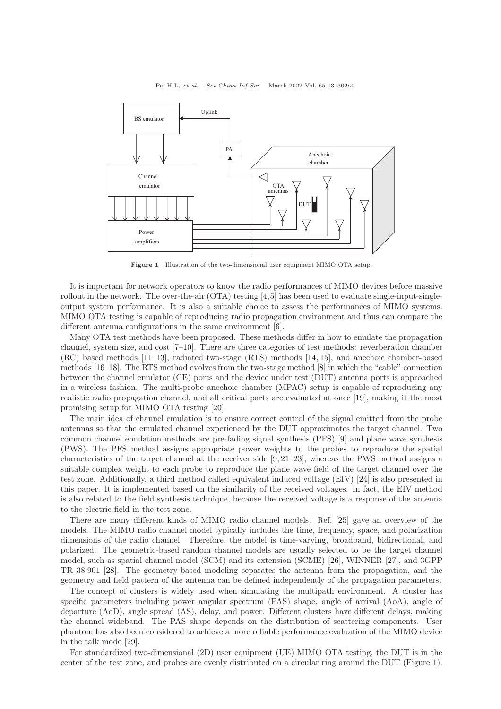

Figure 1 Illustration of the two-dimensional user equipment MIMO OTA setup.

It is important for network operators to know the radio performances of MIMO devices before massive rollout in the network. The over-the-air  $(OTA)$  testing [\[4,](#page-23-3)[5\]](#page-23-4) has been used to evaluate single-input-singleoutput system performance. It is also a suitable choice to assess the performances of MIMO systems. MIMO OTA testing is capable of reproducing radio propagation environment and thus can compare the different antenna configurations in the same environment [\[6\]](#page-23-5).

Many OTA test methods have been proposed. These methods differ in how to emulate the propagation channel, system size, and cost [\[7](#page-24-0)[–10\]](#page-24-1). There are three categories of test methods: reverberation chamber (RC) based methods [\[11](#page-24-2)[–13\]](#page-24-3), radiated two-stage (RTS) methods [\[14,](#page-24-4) [15\]](#page-24-5), and anechoic chamber-based methods [\[16](#page-24-6)[–18\]](#page-24-7). The RTS method evolves from the two-stage method [\[8\]](#page-24-8) in which the "cable" connection between the channel emulator (CE) ports and the device under test (DUT) antenna ports is approached in a wireless fashion. The multi-probe anechoic chamber (MPAC) setup is capable of reproducing any realistic radio propagation channel, and all critical parts are evaluated at once [\[19\]](#page-24-9), making it the most promising setup for MIMO OTA testing [\[20\]](#page-24-10).

The main idea of channel emulation is to ensure correct control of the signal emitted from the probe antennas so that the emulated channel experienced by the DUT approximates the target channel. Two common channel emulation methods are pre-fading signal synthesis (PFS) [\[9\]](#page-24-11) and plane wave synthesis (PWS). The PFS method assigns appropriate power weights to the probes to reproduce the spatial characteristics of the target channel at the receiver side [\[9,](#page-24-11) [21](#page-24-12)[–23\]](#page-24-13), whereas the PWS method assigns a suitable complex weight to each probe to reproduce the plane wave field of the target channel over the test zone. Additionally, a third method called equivalent induced voltage (EIV) [\[24\]](#page-24-14) is also presented in this paper. It is implemented based on the similarity of the received voltages. In fact, the EIV method is also related to the field synthesis technique, because the received voltage is a response of the antenna to the electric field in the test zone.

There are many different kinds of MIMO radio channel models. Ref. [\[25\]](#page-24-15) gave an overview of the models. The MIMO radio channel model typically includes the time, frequency, space, and polarization dimensions of the radio channel. Therefore, the model is time-varying, broadband, bidirectional, and polarized. The geometric-based random channel models are usually selected to be the target channel model, such as spatial channel model (SCM) and its extension (SCME) [\[26\]](#page-24-16), WINNER [\[27\]](#page-24-17), and 3GPP TR 38.901 [\[28\]](#page-24-18). The geometry-based modeling separates the antenna from the propagation, and the geometry and field pattern of the antenna can be defined independently of the propagation parameters.

The concept of clusters is widely used when simulating the multipath environment. A cluster has specific parameters including power angular spectrum (PAS) shape, angle of arrival (AoA), angle of departure (AoD), angle spread (AS), delay, and power. Different clusters have different delays, making the channel wideband. The PAS shape depends on the distribution of scattering components. User phantom has also been considered to achieve a more reliable performance evaluation of the MIMO device in the talk mode [\[29\]](#page-24-19).

For standardized two-dimensional (2D) user equipment (UE) MIMO OTA testing, the DUT is in the center of the test zone, and probes are evenly distributed on a circular ring around the DUT (Figure 1).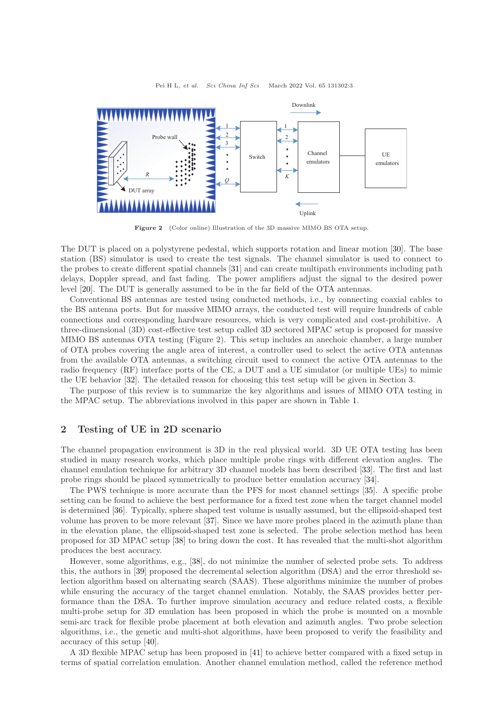



Figure 2 (Color online) Illustration of the 3D massive MIMO BS OTA setup.

The DUT is placed on a polystyrene pedestal, which supports rotation and linear motion [\[30\]](#page-24-20). The base station (BS) simulator is used to create the test signals. The channel simulator is used to connect to the probes to create different spatial channels [\[31\]](#page-24-21) and can create multipath environments including path delays, Doppler spread, and fast fading. The power amplifiers adjust the signal to the desired power level [\[20\]](#page-24-10). The DUT is generally assumed to be in the far field of the OTA antennas.

Conventional BS antennas are tested using conducted methods, i.e., by connecting coaxial cables to the BS antenna ports. But for massive MIMO arrays, the conducted test will require hundreds of cable connections and corresponding hardware resources, which is very complicated and cost-prohibitive. A three-dimensional (3D) cost-effective test setup called 3D sectored MPAC setup is proposed for massive MIMO BS antennas OTA testing (Figure 2). This setup includes an anechoic chamber, a large number of OTA probes covering the angle area of interest, a controller used to select the active OTA antennas from the available OTA antennas, a switching circuit used to connect the active OTA antennas to the radio frequency (RF) interface ports of the CE, a DUT and a UE simulator (or multiple UEs) to mimic the UE behavior [\[32\]](#page-24-22). The detailed reason for choosing this test setup will be given in Section 3.

The purpose of this review is to summarize the key algorithms and issues of MIMO OTA testing in the MPAC setup. The abbreviations involved in this paper are shown in Table [1.](#page-3-0)

# 2 Testing of UE in 2D scenario

The channel propagation environment is 3D in the real physical world. 3D UE OTA testing has been studied in many research works, which place multiple probe rings with different elevation angles. The channel emulation technique for arbitrary 3D channel models has been described [\[33\]](#page-24-23). The first and last probe rings should be placed symmetrically to produce better emulation accuracy [\[34\]](#page-24-24).

The PWS technique is more accurate than the PFS for most channel settings [\[35\]](#page-24-25). A specific probe setting can be found to achieve the best performance for a fixed test zone when the target channel model is determined [\[36\]](#page-24-26). Typically, sphere shaped test volume is usually assumed, but the ellipsoid-shaped test volume has proven to be more relevant [\[37\]](#page-24-27). Since we have more probes placed in the azimuth plane than in the elevation plane, the ellipsoid-shaped test zone is selected. The probe selection method has been proposed for 3D MPAC setup [\[38\]](#page-24-28) to bring down the cost. It has revealed that the multi-shot algorithm produces the best accuracy.

However, some algorithms, e.g., [\[38\]](#page-24-28), do not minimize the number of selected probe sets. To address this, the authors in [\[39\]](#page-24-29) proposed the decremental selection algorithm (DSA) and the error threshold selection algorithm based on alternating search (SAAS). These algorithms minimize the number of probes while ensuring the accuracy of the target channel emulation. Notably, the SAAS provides better performance than the DSA. To further improve simulation accuracy and reduce related costs, a flexible multi-probe setup for 3D emulation has been proposed in which the probe is mounted on a movable semi-arc track for flexible probe placement at both elevation and azimuth angles. Two probe selection algorithms, i.e., the genetic and multi-shot algorithms, have been proposed to verify the feasibility and accuracy of this setup [\[40\]](#page-24-30).

A 3D flexible MPAC setup has been proposed in [\[41\]](#page-24-31) to achieve better compared with a fixed setup in terms of spatial correlation emulation. Another channel emulation method, called the reference method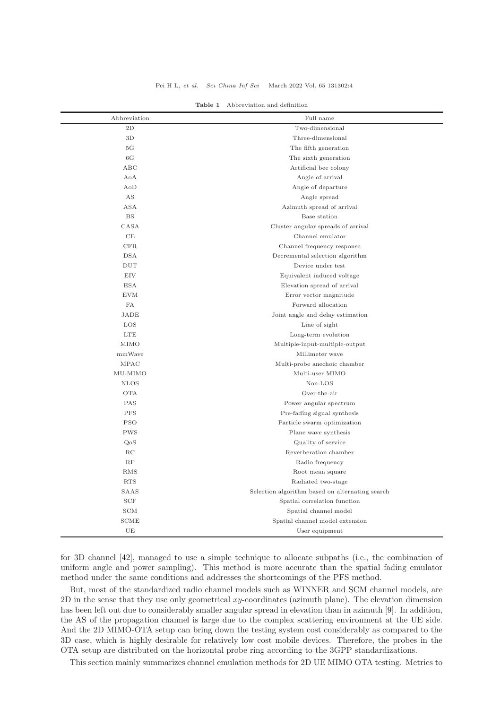<span id="page-3-0"></span>

| Abbreviation      | Full name                                       |  |  |
|-------------------|-------------------------------------------------|--|--|
| 2D                | Two-dimensional                                 |  |  |
| 3D                | Three-dimensional                               |  |  |
| 5G                | The fifth generation                            |  |  |
| 6G                | The sixth generation                            |  |  |
| ABC               | Artificial bee colony                           |  |  |
| AoA               | Angle of arrival                                |  |  |
| AoD               | Angle of departure                              |  |  |
| AS                | Angle spread                                    |  |  |
| <b>ASA</b>        | Azimuth spread of arrival                       |  |  |
| <b>BS</b>         | Base station                                    |  |  |
| CASA              | Cluster angular spreads of arrival              |  |  |
| CE                | Channel emulator                                |  |  |
| CFR               | Channel frequency response                      |  |  |
| <b>DSA</b>        | Decremental selection algorithm                 |  |  |
| <b>DUT</b>        | Device under test                               |  |  |
| <b>EIV</b>        | Equivalent induced voltage                      |  |  |
| <b>ESA</b>        | Elevation spread of arrival                     |  |  |
| <b>EVM</b>        | Error vector magnitude                          |  |  |
| FA                | Forward allocation                              |  |  |
| JADE              | Joint angle and delay estimation                |  |  |
| LOS               | Line of sight                                   |  |  |
| <b>LTE</b>        | Long-term evolution                             |  |  |
| MIMO              | Multiple-input-multiple-output                  |  |  |
| mmWave            | Millimeter wave                                 |  |  |
| <b>MPAC</b>       | Multi-probe anechoic chamber                    |  |  |
| MU-MIMO           | Multi-user MIMO                                 |  |  |
| <b>NLOS</b>       | $Non-LOS$                                       |  |  |
| <b>OTA</b>        | Over-the-air                                    |  |  |
| <b>PAS</b>        | Power angular spectrum                          |  |  |
| <b>PFS</b>        | Pre-fading signal synthesis                     |  |  |
| <b>PSO</b>        | Particle swarm optimization                     |  |  |
| <b>PWS</b>        | Plane wave synthesis                            |  |  |
| QoS               | Quality of service                              |  |  |
| RC                | Reverberation chamber                           |  |  |
| RF                | Radio frequency                                 |  |  |
| RMS               | Root mean square                                |  |  |
| <b>RTS</b>        | Radiated two-stage                              |  |  |
| SAAS              | Selection algorithm based on alternating search |  |  |
| $_{\mathrm{SCF}}$ | Spatial correlation function                    |  |  |
| SCM               | Spatial channel model                           |  |  |
| SCME              | Spatial channel model extension                 |  |  |
| UE                | User equipment                                  |  |  |

Table 1 Abbreviation and definition

for 3D channel [\[42\]](#page-24-32), managed to use a simple technique to allocate subpaths (i.e., the combination of uniform angle and power sampling). This method is more accurate than the spatial fading emulator method under the same conditions and addresses the shortcomings of the PFS method.

But, most of the standardized radio channel models such as WINNER and SCM channel models, are  $2D$  in the sense that they use only geometrical xy-coordinates (azimuth plane). The elevation dimension has been left out due to considerably smaller angular spread in elevation than in azimuth [\[9\]](#page-24-11). In addition, the AS of the propagation channel is large due to the complex scattering environment at the UE side. And the 2D MIMO-OTA setup can bring down the testing system cost considerably as compared to the 3D case, which is highly desirable for relatively low cost mobile devices. Therefore, the probes in the OTA setup are distributed on the horizontal probe ring according to the 3GPP standardizations.

This section mainly summarizes channel emulation methods for 2D UE MIMO OTA testing. Metrics to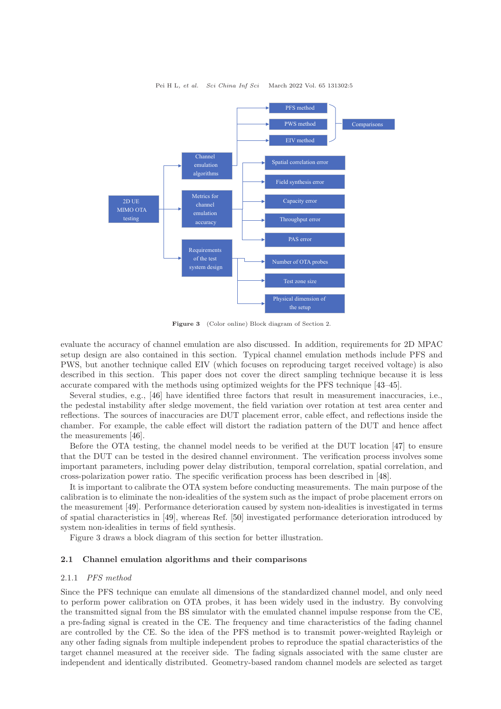

Figure 3 (Color online) Block diagram of Section 2.

evaluate the accuracy of channel emulation are also discussed. In addition, requirements for 2D MPAC setup design are also contained in this section. Typical channel emulation methods include PFS and PWS, but another technique called EIV (which focuses on reproducing target received voltage) is also described in this section. This paper does not cover the direct sampling technique because it is less accurate compared with the methods using optimized weights for the PFS technique [\[43](#page-25-0)[–45\]](#page-25-1).

Several studies, e.g., [\[46\]](#page-25-2) have identified three factors that result in measurement inaccuracies, i.e., the pedestal instability after sledge movement, the field variation over rotation at test area center and reflections. The sources of inaccuracies are DUT placement error, cable effect, and reflections inside the chamber. For example, the cable effect will distort the radiation pattern of the DUT and hence affect the measurements [\[46\]](#page-25-2).

Before the OTA testing, the channel model needs to be verified at the DUT location [\[47\]](#page-25-3) to ensure that the DUT can be tested in the desired channel environment. The verification process involves some important parameters, including power delay distribution, temporal correlation, spatial correlation, and cross-polarization power ratio. The specific verification process has been described in [\[48\]](#page-25-4).

It is important to calibrate the OTA system before conducting measurements. The main purpose of the calibration is to eliminate the non-idealities of the system such as the impact of probe placement errors on the measurement [\[49\]](#page-25-5). Performance deterioration caused by system non-idealities is investigated in terms of spatial characteristics in [\[49\]](#page-25-5), whereas Ref. [\[50\]](#page-25-6) investigated performance deterioration introduced by system non-idealities in terms of field synthesis.

Figure 3 draws a block diagram of this section for better illustration.

## 2.1 Channel emulation algorithms and their comparisons

## 2.1.1 PFS method

Since the PFS technique can emulate all dimensions of the standardized channel model, and only need to perform power calibration on OTA probes, it has been widely used in the industry. By convolving the transmitted signal from the BS simulator with the emulated channel impulse response from the CE, a pre-fading signal is created in the CE. The frequency and time characteristics of the fading channel are controlled by the CE. So the idea of the PFS method is to transmit power-weighted Rayleigh or any other fading signals from multiple independent probes to reproduce the spatial characteristics of the target channel measured at the receiver side. The fading signals associated with the same cluster are independent and identically distributed. Geometry-based random channel models are selected as target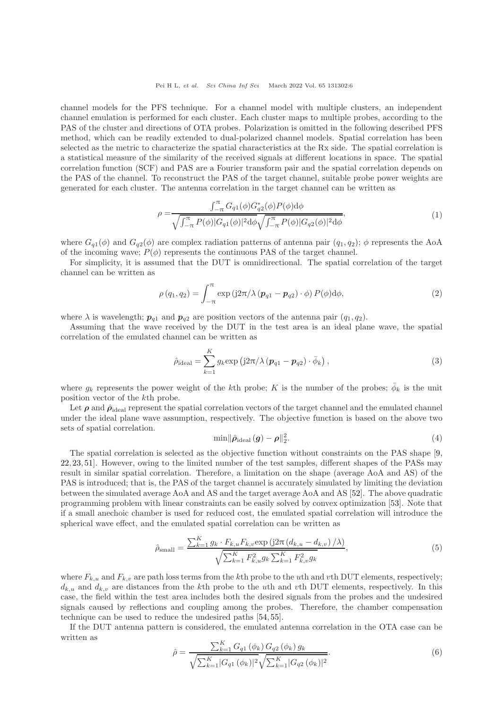channel models for the PFS technique. For a channel model with multiple clusters, an independent channel emulation is performed for each cluster. Each cluster maps to multiple probes, according to the PAS of the cluster and directions of OTA probes. Polarization is omitted in the following described PFS method, which can be readily extended to dual-polarized channel models. Spatial correlation has been selected as the metric to characterize the spatial characteristics at the Rx side. The spatial correlation is a statistical measure of the similarity of the received signals at different locations in space. The spatial correlation function (SCF) and PAS are a Fourier transform pair and the spatial correlation depends on the PAS of the channel. To reconstruct the PAS of the target channel, suitable probe power weights are generated for each cluster. The antenna correlation in the target channel can be written as

$$
\rho = \frac{\int_{-\pi}^{\pi} G_{q1}(\phi) G_{q2}^{*}(\phi) P(\phi) d\phi}{\sqrt{\int_{-\pi}^{\pi} P(\phi) |G_{q1}(\phi)|^{2} d\phi} \sqrt{\int_{-\pi}^{\pi} P(\phi) |G_{q2}(\phi)|^{2} d\phi}},
$$
\n(1)

where  $G_{q1}(\phi)$  and  $G_{q2}(\phi)$  are complex radiation patterns of antenna pair  $(q_1, q_2)$ ;  $\phi$  represents the AoA of the incoming wave;  $P(\phi)$  represents the continuous PAS of the target channel.

For simplicity, it is assumed that the DUT is omnidirectional. The spatial correlation of the target channel can be written as

$$
\rho(q_1, q_2) = \int_{-\pi}^{\pi} \exp\left(j2\pi/\lambda \left(\mathbf{p}_{q1} - \mathbf{p}_{q2}\right) \cdot \phi\right) P(\phi) d\phi, \tag{2}
$$

where  $\lambda$  is wavelength;  $p_{q1}$  and  $p_{q2}$  are position vectors of the antenna pair  $(q_1, q_2)$ .

Assuming that the wave received by the DUT in the test area is an ideal plane wave, the spatial correlation of the emulated channel can be written as

$$
\hat{\rho}_{\text{ideal}} = \sum_{k=1}^{K} g_k \exp \left( j2\pi / \lambda \left( \boldsymbol{p}_{q1} - \boldsymbol{p}_{q2} \right) \cdot \bar{\phi}_k \right),\tag{3}
$$

where  $g_k$  represents the power weight of the kth probe; K is the number of the probes;  $\bar{\phi}_k$  is the unit position vector of the kth probe.

Let  $\rho$  and  $\hat{\rho}_{\text{ideal}}$  represent the spatial correlation vectors of the target channel and the emulated channel under the ideal plane wave assumption, respectively. The objective function is based on the above two sets of spatial correlation.

$$
\min \|\hat{\rho}_{\text{ideal}}(g) - \rho\|_2^2. \tag{4}
$$

The spatial correlation is selected as the objective function without constraints on the PAS shape [\[9,](#page-24-11) [22,](#page-24-33) [23,](#page-24-13) [51\]](#page-25-7). However, owing to the limited number of the test samples, different shapes of the PASs may result in similar spatial correlation. Therefore, a limitation on the shape (average AoA and AS) of the PAS is introduced; that is, the PAS of the target channel is accurately simulated by limiting the deviation between the simulated average AoA and AS and the target average AoA and AS [\[52\]](#page-25-8). The above quadratic programming problem with linear constraints can be easily solved by convex optimization [\[53\]](#page-25-9). Note that if a small anechoic chamber is used for reduced cost, the emulated spatial correlation will introduce the spherical wave effect, and the emulated spatial correlation can be written as

$$
\hat{\rho}_{\text{small}} = \frac{\sum_{k=1}^{K} g_k \cdot F_{k,u} F_{k,v} \exp\left(j2\pi \left(d_{k,u} - d_{k,v}\right) / \lambda\right)}{\sqrt{\sum_{k=1}^{K} F_{k,u}^2 g_k \sum_{k=1}^{K} F_{k,v}^2 g_k}},\tag{5}
$$

where  $F_{k,u}$  and  $F_{k,v}$  are path loss terms from the kth probe to the uth and vth DUT elements, respectively;  $d_{k,u}$  and  $d_{k,v}$  are distances from the kth probe to the uth and vth DUT elements, respectively. In this case, the field within the test area includes both the desired signals from the probes and the undesired signals caused by reflections and coupling among the probes. Therefore, the chamber compensation technique can be used to reduce the undesired paths [\[54,](#page-25-10) [55\]](#page-25-11).

If the DUT antenna pattern is considered, the emulated antenna correlation in the OTA case can be written as

$$
\hat{\rho} = \frac{\sum_{k=1}^{K} G_{q1}(\phi_k) G_{q2}(\phi_k) g_k}{\sqrt{\sum_{k=1}^{K} |G_{q1}(\phi_k)|^2} \sqrt{\sum_{k=1}^{K} |G_{q2}(\phi_k)|^2}}.
$$
\n(6)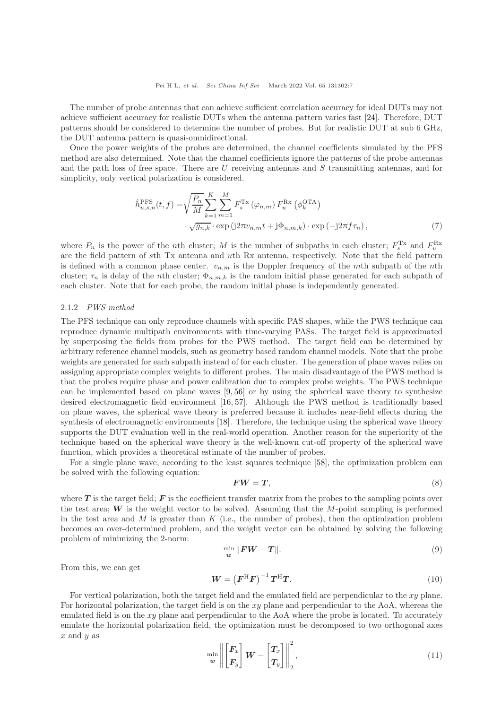The number of probe antennas that can achieve sufficient correlation accuracy for ideal DUTs may not achieve sufficient accuracy for realistic DUTs when the antenna pattern varies fast [\[24\]](#page-24-14). Therefore, DUT patterns should be considered to determine the number of probes. But for realistic DUT at sub 6 GHz, the DUT antenna pattern is quasi-omnidirectional.

Once the power weights of the probes are determined, the channel coefficients simulated by the PFS method are also determined. Note that the channel coefficients ignore the patterns of the probe antennas and the path loss of free space. There are U receiving antennas and S transmitting antennas, and for simplicity, only vertical polarization is considered.

$$
\hat{h}_{u,s,n}^{\text{PFS}}(t,f) = \sqrt{\frac{P_n}{M}} \sum_{k=1}^{K} \sum_{m=1}^{M} F_s^{\text{Tx}} \left( \varphi_{n,m} \right) F_u^{\text{Rx}} \left( \phi_k^{\text{OTA}} \right)
$$

$$
\cdot \sqrt{g_{n,k}} \cdot \exp \left( j2\pi v_{n,m} t + j\Phi_{n,m,k} \right) \cdot \exp \left( -j2\pi f \tau_n \right),\tag{7}
$$

where  $P_n$  is the power of the nth cluster; M is the number of subpaths in each cluster;  $F_s^{Tx}$  and  $F_u^{Rx}$ are the field pattern of sth Tx antenna and uth Rx antenna, respectively. Note that the field pattern is defined with a common phase center.  $v_{n,m}$  is the Doppler frequency of the mth subpath of the nth cluster;  $\tau_n$  is delay of the nth cluster;  $\Phi_{n,m,k}$  is the random initial phase generated for each subpath of each cluster. Note that for each probe, the random initial phase is independently generated.

### 2.1.2 PWS method

The PFS technique can only reproduce channels with specific PAS shapes, while the PWS technique can reproduce dynamic multipath environments with time-varying PASs. The target field is approximated by superposing the fields from probes for the PWS method. The target field can be determined by arbitrary reference channel models, such as geometry based random channel models. Note that the probe weights are generated for each subpath instead of for each cluster. The generation of plane waves relies on assigning appropriate complex weights to different probes. The main disadvantage of the PWS method is that the probes require phase and power calibration due to complex probe weights. The PWS technique can be implemented based on plane waves  $[9, 56]$  $[9, 56]$  or by using the spherical wave theory to synthesize desired electromagnetic field environment [\[16,](#page-24-6) [57\]](#page-25-13). Although the PWS method is traditionally based on plane waves, the spherical wave theory is preferred because it includes near-field effects during the synthesis of electromagnetic environments [\[18\]](#page-24-7). Therefore, the technique using the spherical wave theory supports the DUT evaluation well in the real-world operation. Another reason for the superiority of the technique based on the spherical wave theory is the well-known cut-off property of the spherical wave function, which provides a theoretical estimate of the number of probes.

For a single plane wave, according to the least squares technique [\[58\]](#page-25-14), the optimization problem can be solved with the following equation:

$$
FW = T,\tag{8}
$$

where  $T$  is the target field;  $\bm{F}$  is the coefficient transfer matrix from the probes to the sampling points over the test area;  $W$  is the weight vector to be solved. Assuming that the  $M$ -point sampling is performed in the test area and  $M$  is greater than  $K$  (i.e., the number of probes), then the optimization problem becomes an over-determined problem, and the weight vector can be obtained by solving the following problem of minimizing the 2-norm:

$$
\min_{\mathbf{w}} \|\mathbf{F}\mathbf{W} - \mathbf{T}\|.\tag{9}
$$

From this, we can get

$$
W = \left(F^{\mathrm{H}}F\right)^{-1}T^{\mathrm{H}}T.\tag{10}
$$

For vertical polarization, both the target field and the emulated field are perpendicular to the xy plane. For horizontal polarization, the target field is on the xy plane and perpendicular to the AoA, whereas the emulated field is on the xy plane and perpendicular to the AoA where the probe is located. To accurately emulate the horizontal polarization field, the optimization must be decomposed to two orthogonal axes  $x$  and  $y$  as

$$
\min_{\mathbf{w}} \left\| \begin{bmatrix} \mathbf{F}_x \\ \mathbf{F}_y \end{bmatrix} \mathbf{W} - \begin{bmatrix} \mathbf{T}_x \\ \mathbf{T}_y \end{bmatrix} \right\|_2^2, \tag{11}
$$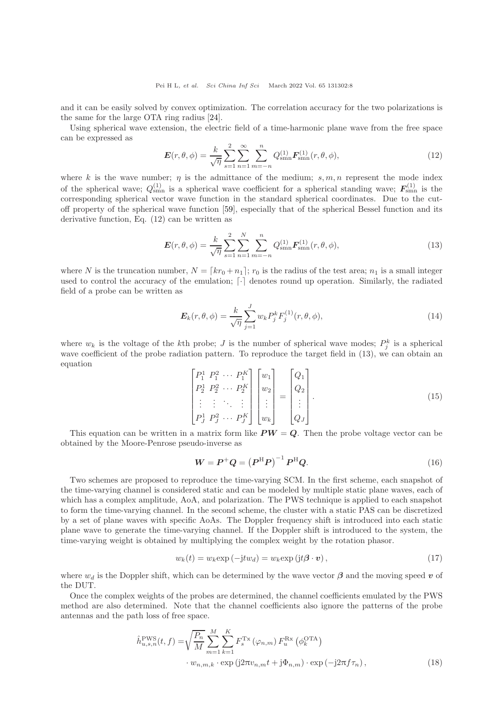and it can be easily solved by convex optimization. The correlation accuracy for the two polarizations is the same for the large OTA ring radius [\[24\]](#page-24-14).

Using spherical wave extension, the electric field of a time-harmonic plane wave from the free space can be expressed as

$$
E(r,\theta,\phi) = \frac{k}{\sqrt{\eta}} \sum_{s=1}^2 \sum_{n=1}^{\infty} \sum_{m=-n}^n Q_{\text{smn}}^{(1)} F_{\text{smn}}^{(1)}(r,\theta,\phi), \qquad (12)
$$

where k is the wave number;  $\eta$  is the admittance of the medium;  $s, m, n$  represent the mode index of the spherical wave;  $Q_{\text{smn}}^{(1)}$  is a spherical wave coefficient for a spherical standing wave;  $F_{\text{smn}}^{(1)}$  is the corresponding spherical vector wave function in the standard spherical coordinates. Due to the cutoff property of the spherical wave function [\[59\]](#page-25-15), especially that of the spherical Bessel function and its derivative function, Eq. (12) can be written as

$$
E(r,\theta,\phi) = \frac{k}{\sqrt{\eta}} \sum_{s=1}^{2} \sum_{n=1}^{N} \sum_{m=-n}^{n} Q_{\text{smn}}^{(1)} F_{\text{smn}}^{(1)}(r,\theta,\phi), \tag{13}
$$

where N is the truncation number,  $N = [kr_0 + n_1]$ ;  $r_0$  is the radius of the test area;  $n_1$  is a small integer used to control the accuracy of the emulation;  $\lceil \cdot \rceil$  denotes round up operation. Similarly, the radiated field of a probe can be written as

$$
E_k(r, \theta, \phi) = \frac{k}{\sqrt{\eta}} \sum_{j=1}^{J} w_k P_j^k F_j^{(1)}(r, \theta, \phi),
$$
\n(14)

where  $w_k$  is the voltage of the k<sup>th</sup> probe; *J* is the number of spherical wave modes;  $P_j^k$  is a spherical wave coefficient of the probe radiation pattern. To reproduce the target field in (13), we can obtain an equation

$$
\begin{bmatrix} P_1^1 & P_1^2 & \cdots & P_1^K \\ P_2^1 & P_2^2 & \cdots & P_2^K \\ \vdots & \vdots & \ddots & \vdots \\ P_J^1 & P_J^2 & \cdots & P_J^K \end{bmatrix} \begin{bmatrix} w_1 \\ w_2 \\ \vdots \\ w_k \end{bmatrix} = \begin{bmatrix} Q_1 \\ Q_2 \\ \vdots \\ Q_J \end{bmatrix} . \tag{15}
$$

This equation can be written in a matrix form like  $PW = Q$ . Then the probe voltage vector can be obtained by the Moore-Penrose pseudo-inverse as

$$
W = P^{+}Q = (P^{\mathrm{H}}P)^{-1}P^{\mathrm{H}}Q.
$$
\n
$$
(16)
$$

Two schemes are proposed to reproduce the time-varying SCM. In the first scheme, each snapshot of the time-varying channel is considered static and can be modeled by multiple static plane waves, each of which has a complex amplitude, AoA, and polarization. The PWS technique is applied to each snapshot to form the time-varying channel. In the second scheme, the cluster with a static PAS can be discretized by a set of plane waves with specific AoAs. The Doppler frequency shift is introduced into each static plane wave to generate the time-varying channel. If the Doppler shift is introduced to the system, the time-varying weight is obtained by multiplying the complex weight by the rotation phasor.

$$
w_k(t) = w_k \exp(-j t w_d) = w_k \exp(j t \beta \cdot \boldsymbol{v}), \qquad (17)
$$

where  $w_d$  is the Doppler shift, which can be determined by the wave vector  $\beta$  and the moving speed v of the DUT.

Once the complex weights of the probes are determined, the channel coefficients emulated by the PWS method are also determined. Note that the channel coefficients also ignore the patterns of the probe antennas and the path loss of free space.

$$
\hat{h}_{u,s,n}^{\text{PWS}}(t,f) = \sqrt{\frac{P_n}{M}} \sum_{m=1}^{M} \sum_{k=1}^{K} F_s^{\text{Tx}} \left( \varphi_{n,m} \right) F_u^{\text{Rx}} \left( \phi_k^{\text{OTA}} \right)
$$

$$
\cdot w_{n,m,k} \cdot \exp \left( j2\pi v_{n,m} t + j\Phi_{n,m} \right) \cdot \exp \left( -j2\pi f \tau_n \right),\tag{18}
$$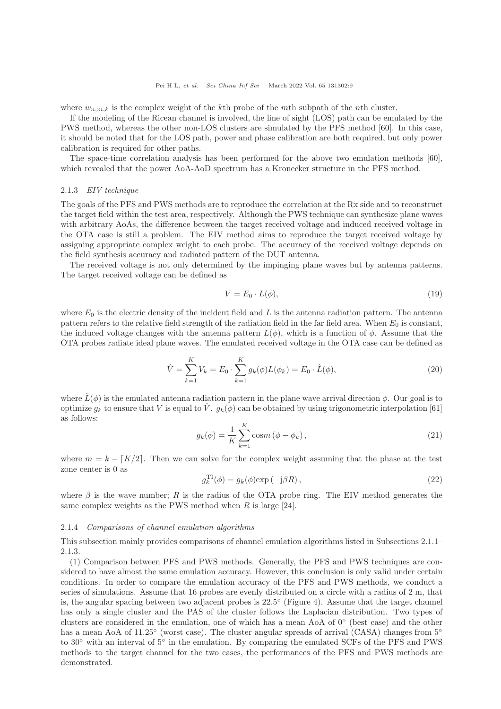where  $w_{n,m,k}$  is the complex weight of the kth probe of the mth subpath of the nth cluster.

If the modeling of the Ricean channel is involved, the line of sight (LOS) path can be emulated by the PWS method, whereas the other non-LOS clusters are simulated by the PFS method [\[60\]](#page-25-16). In this case, it should be noted that for the LOS path, power and phase calibration are both required, but only power calibration is required for other paths.

The space-time correlation analysis has been performed for the above two emulation methods [\[60\]](#page-25-16), which revealed that the power AoA-AoD spectrum has a Kronecker structure in the PFS method.

#### 2.1.3 EIV technique

The goals of the PFS and PWS methods are to reproduce the correlation at the Rx side and to reconstruct the target field within the test area, respectively. Although the PWS technique can synthesize plane waves with arbitrary AoAs, the difference between the target received voltage and induced received voltage in the OTA case is still a problem. The EIV method aims to reproduce the target received voltage by assigning appropriate complex weight to each probe. The accuracy of the received voltage depends on the field synthesis accuracy and radiated pattern of the DUT antenna.

The received voltage is not only determined by the impinging plane waves but by antenna patterns. The target received voltage can be defined as

$$
V = E_0 \cdot L(\phi),\tag{19}
$$

where  $E_0$  is the electric density of the incident field and L is the antenna radiation pattern. The antenna pattern refers to the relative field strength of the radiation field in the far field area. When  $E_0$  is constant, the induced voltage changes with the antenna pattern  $L(\phi)$ , which is a function of  $\phi$ . Assume that the OTA probes radiate ideal plane waves. The emulated received voltage in the OTA case can be defined as

$$
\hat{V} = \sum_{k=1}^{K} V_k = E_0 \cdot \sum_{k=1}^{K} g_k(\phi) L(\phi_k) = E_0 \cdot \hat{L}(\phi),
$$
\n(20)

where  $\hat{L}(\phi)$  is the emulated antenna radiation pattern in the plane wave arrival direction  $\phi$ . Our goal is to optimize  $g_k$  to ensure that V is equal to  $\hat{V}$ .  $g_k(\phi)$  can be obtained by using trigonometric interpolation [\[61\]](#page-25-17) as follows:

$$
g_k(\phi) = \frac{1}{K} \sum_{k=1}^{K} \cos m (\phi - \phi_k),
$$
 (21)

where  $m = k - [K/2]$ . Then we can solve for the complex weight assuming that the phase at the test zone center is 0 as

$$
g_k^{\text{TI}}(\phi) = g_k(\phi) \exp\left(-j\beta R\right),\tag{22}
$$

where  $\beta$  is the wave number; R is the radius of the OTA probe ring. The EIV method generates the same complex weights as the PWS method when  $R$  is large [\[24\]](#page-24-14).

#### 2.1.4 Comparisons of channel emulation algorithms

This subsection mainly provides comparisons of channel emulation algorithms listed in Subsections 2.1.1– 2.1.3.

(1) Comparison between PFS and PWS methods. Generally, the PFS and PWS techniques are considered to have almost the same emulation accuracy. However, this conclusion is only valid under certain conditions. In order to compare the emulation accuracy of the PFS and PWS methods, we conduct a series of simulations. Assume that 16 probes are evenly distributed on a circle with a radius of 2 m, that is, the angular spacing between two adjacent probes is 22.5 ◦ (Figure 4). Assume that the target channel has only a single cluster and the PAS of the cluster follows the Laplacian distribution. Two types of clusters are considered in the emulation, one of which has a mean AoA of 0◦ (best case) and the other has a mean AoA of 11.25° (worst case). The cluster angular spreads of arrival (CASA) changes from 5° to 30◦ with an interval of 5◦ in the emulation. By comparing the emulated SCFs of the PFS and PWS methods to the target channel for the two cases, the performances of the PFS and PWS methods are demonstrated.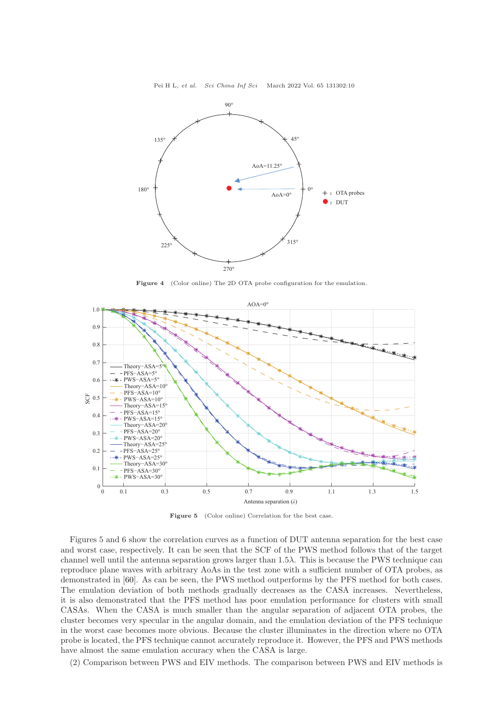

Figure 4 (Color online) The 2D OTA probe configuration for the emulation.



Figure 5 (Color online) Correlation for the best case.

Figures 5 and 6 show the correlation curves as a function of DUT antenna separation for the best case and worst case, respectively. It can be seen that the SCF of the PWS method follows that of the target channel well until the antenna separation grows larger than  $1.5\lambda$ . This is because the PWS technique can reproduce plane waves with arbitrary AoAs in the test zone with a sufficient number of OTA probes, as demonstrated in [\[60\]](#page-25-16). As can be seen, the PWS method outperforms by the PFS method for both cases. The emulation deviation of both methods gradually decreases as the CASA increases. Nevertheless, it is also demonstrated that the PFS method has poor emulation performance for clusters with small CASAs. When the CASA is much smaller than the angular separation of adjacent OTA probes, the cluster becomes very specular in the angular domain, and the emulation deviation of the PFS technique in the worst case becomes more obvious. Because the cluster illuminates in the direction where no OTA probe is located, the PFS technique cannot accurately reproduce it. However, the PFS and PWS methods have almost the same emulation accuracy when the CASA is large.

(2) Comparison between PWS and EIV methods. The comparison between PWS and EIV methods is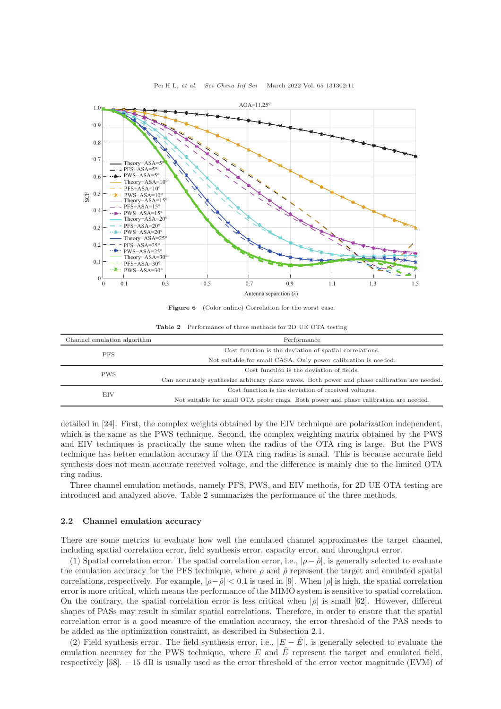

Pei H L, et al. Sci China Inf Sci March 2022 Vol. 65 131302:11

Figure 6 (Color online) Correlation for the worst case.

Table 2 Performance of three methods for 2D UE OTA testing

<span id="page-10-0"></span>

| Channel emulation algorithm | Performance                                                                                   |  |
|-----------------------------|-----------------------------------------------------------------------------------------------|--|
| <b>PFS</b>                  | Cost function is the deviation of spatial correlations.                                       |  |
|                             | Not suitable for small CASA. Only power calibration is needed.                                |  |
| <b>PWS</b>                  | Cost function is the deviation of fields.                                                     |  |
|                             | Can accurately synthesize arbitrary plane waves. Both power and phase calibration are needed. |  |
| EIV                         | Cost function is the deviation of received voltages.                                          |  |
|                             | Not suitable for small OTA probe rings. Both power and phase calibration are needed.          |  |

detailed in [\[24\]](#page-24-14). First, the complex weights obtained by the EIV technique are polarization independent, which is the same as the PWS technique. Second, the complex weighting matrix obtained by the PWS and EIV techniques is practically the same when the radius of the OTA ring is large. But the PWS technique has better emulation accuracy if the OTA ring radius is small. This is because accurate field synthesis does not mean accurate received voltage, and the difference is mainly due to the limited OTA ring radius.

Three channel emulation methods, namely PFS, PWS, and EIV methods, for 2D UE OTA testing are introduced and analyzed above. Table [2](#page-10-0) summarizes the performance of the three methods.

## 2.2 Channel emulation accuracy

There are some metrics to evaluate how well the emulated channel approximates the target channel, including spatial correlation error, field synthesis error, capacity error, and throughput error.

(1) Spatial correlation error. The spatial correlation error, i.e.,  $|\rho - \hat{\rho}|$ , is generally selected to evaluate the emulation accuracy for the PFS technique, where  $\rho$  and  $\hat{\rho}$  represent the target and emulated spatial correlations, respectively. For example,  $|\rho-\hat{\rho}| < 0.1$  is used in [\[9\]](#page-24-11). When  $|\rho|$  is high, the spatial correlation error is more critical, which means the performance of the MIMO system is sensitive to spatial correlation. On the contrary, the spatial correlation error is less critical when  $|\rho|$  is small [\[62\]](#page-25-18). However, different shapes of PASs may result in similar spatial correlations. Therefore, in order to ensure that the spatial correlation error is a good measure of the emulation accuracy, the error threshold of the PAS needs to be added as the optimization constraint, as described in Subsection 2.1.

(2) Field synthesis error. The field synthesis error, i.e.,  $|E - \hat{E}|$ , is generally selected to evaluate the emulation accuracy for the PWS technique, where  $E$  and  $\hat{E}$  represent the target and emulated field, respectively [\[58\]](#page-25-14). −15 dB is usually used as the error threshold of the error vector magnitude (EVM) of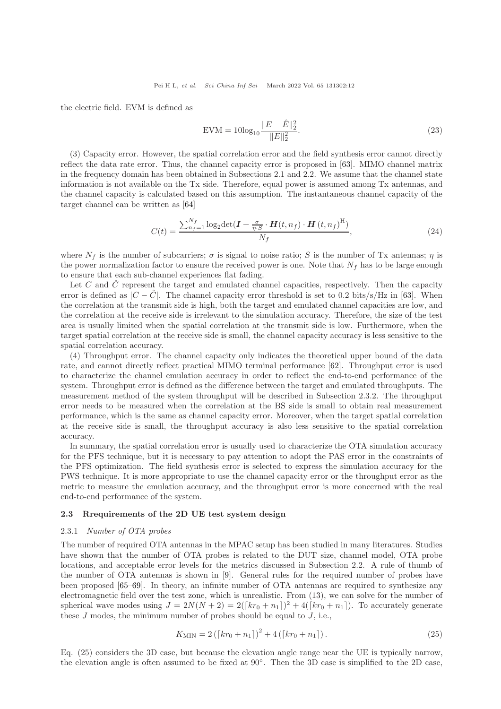the electric field. EVM is defined as

$$
EVM = 10\log_{10} \frac{\|E - \hat{E}\|_2^2}{\|E\|_2^2}.
$$
\n(23)

(3) Capacity error. However, the spatial correlation error and the field synthesis error cannot directly reflect the data rate error. Thus, the channel capacity error is proposed in [\[63\]](#page-25-19). MIMO channel matrix in the frequency domain has been obtained in Subsections 2.1 and 2.2. We assume that the channel state information is not available on the Tx side. Therefore, equal power is assumed among Tx antennas, and the channel capacity is calculated based on this assumption. The instantaneous channel capacity of the target channel can be written as [\[64\]](#page-25-20)

$$
C(t) = \frac{\sum_{n_f=1}^{N_f} \log_2 \det(\boldsymbol{I} + \frac{\sigma}{\eta \cdot S} \cdot \boldsymbol{H}(t, n_f) \cdot \boldsymbol{H}(t, n_f)^{\mathrm{H}})}{N_f},\tag{24}
$$

where  $N_f$  is the number of subcarriers;  $\sigma$  is signal to noise ratio; S is the number of Tx antennas;  $\eta$  is the power normalization factor to ensure the received power is one. Note that  $N_f$  has to be large enough to ensure that each sub-channel experiences flat fading.

Let  $C$  and  $C$  represent the target and emulated channel capacities, respectively. Then the capacity error is defined as  $|C - \tilde{C}|$ . The channel capacity error threshold is set to 0.2 bits/s/Hz in [\[63\]](#page-25-19). When the correlation at the transmit side is high, both the target and emulated channel capacities are low, and the correlation at the receive side is irrelevant to the simulation accuracy. Therefore, the size of the test area is usually limited when the spatial correlation at the transmit side is low. Furthermore, when the target spatial correlation at the receive side is small, the channel capacity accuracy is less sensitive to the spatial correlation accuracy.

(4) Throughput error. The channel capacity only indicates the theoretical upper bound of the data rate, and cannot directly reflect practical MIMO terminal performance [\[62\]](#page-25-18). Throughput error is used to characterize the channel emulation accuracy in order to reflect the end-to-end performance of the system. Throughput error is defined as the difference between the target and emulated throughputs. The measurement method of the system throughput will be described in Subsection 2.3.2. The throughput error needs to be measured when the correlation at the BS side is small to obtain real measurement performance, which is the same as channel capacity error. Moreover, when the target spatial correlation at the receive side is small, the throughput accuracy is also less sensitive to the spatial correlation accuracy.

In summary, the spatial correlation error is usually used to characterize the OTA simulation accuracy for the PFS technique, but it is necessary to pay attention to adopt the PAS error in the constraints of the PFS optimization. The field synthesis error is selected to express the simulation accuracy for the PWS technique. It is more appropriate to use the channel capacity error or the throughput error as the metric to measure the emulation accuracy, and the throughput error is more concerned with the real end-to-end performance of the system.

#### 2.3 Rrequirements of the 2D UE test system design

#### 2.3.1 Number of OTA probes

The number of required OTA antennas in the MPAC setup has been studied in many literatures. Studies have shown that the number of OTA probes is related to the DUT size, channel model, OTA probe locations, and acceptable error levels for the metrics discussed in Subsection 2.2. A rule of thumb of the number of OTA antennas is shown in [\[9\]](#page-24-11). General rules for the required number of probes have been proposed [\[65](#page-25-21)[–69\]](#page-25-22). In theory, an infinite number of OTA antennas are required to synthesize any electromagnetic field over the test zone, which is unrealistic. From (13), we can solve for the number of spherical wave modes using  $J = 2N(N+2) = 2([kr_0 + n_1])^2 + 4([kr_0 + n_1])$ . To accurately generate these  $J$  modes, the minimum number of probes should be equal to  $J$ , i.e.,

$$
K_{\text{MIN}} = 2\left(\left[kr_0 + n_1\right]\right)^2 + 4\left(\left[kr_0 + n_1\right]\right). \tag{25}
$$

Eq. (25) considers the 3D case, but because the elevation angle range near the UE is typically narrow, the elevation angle is often assumed to be fixed at 90◦ . Then the 3D case is simplified to the 2D case,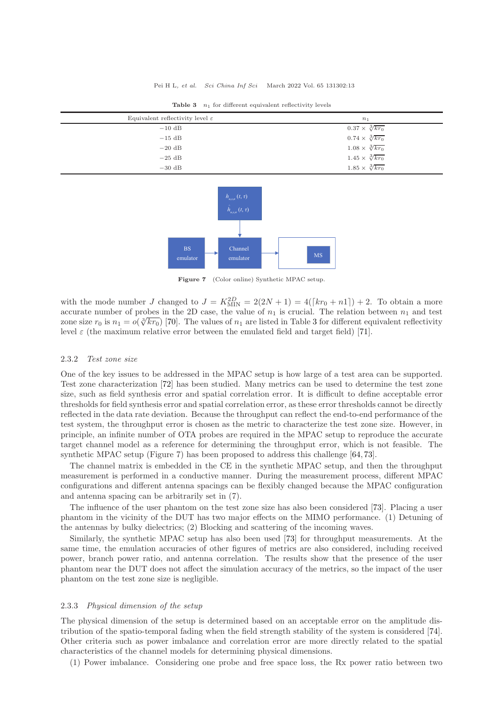<span id="page-12-0"></span>

| Equivalent reflectivity level $\varepsilon$ | n <sub>1</sub>               |
|---------------------------------------------|------------------------------|
| $-10$ dB                                    | $0.37 \times \sqrt[3]{kr_0}$ |
| $-15$ dB                                    | $0.74 \times \sqrt[3]{kr_0}$ |
| $-20$ dB                                    | $1.08 \times \sqrt[3]{kr_0}$ |
| $-25$ dB                                    | $1.45 \times \sqrt[3]{kr_0}$ |
| $-30$ dB                                    | $1.85 \times \sqrt[3]{kr_0}$ |

Table  $3$   $n_1$  for different equivalent reflectivity levels



Figure 7 (Color online) Synthetic MPAC setup.

with the mode number J changed to  $J = K_{\text{MIN}}^{2D} = 2(2N + 1) = 4([kr_0 + n1]) + 2$ . To obtain a more accurate number of probes in the 2D case, the value of  $n_1$  is crucial. The relation between  $n_1$  and test zone size  $r_0$  is  $n_1 = o(\sqrt[3]{kr_0})$  $n_1 = o(\sqrt[3]{kr_0})$  $n_1 = o(\sqrt[3]{kr_0})$  [\[70\]](#page-25-23). The values of  $n_1$  are listed in Table 3 for different equivalent reflectivity level  $\varepsilon$  (the maximum relative error between the emulated field and target field) [\[71\]](#page-25-24).

## 2.3.2 Test zone size

One of the key issues to be addressed in the MPAC setup is how large of a test area can be supported. Test zone characterization [\[72\]](#page-25-25) has been studied. Many metrics can be used to determine the test zone size, such as field synthesis error and spatial correlation error. It is difficult to define acceptable error thresholds for field synthesis error and spatial correlation error, as these error thresholds cannot be directly reflected in the data rate deviation. Because the throughput can reflect the end-to-end performance of the test system, the throughput error is chosen as the metric to characterize the test zone size. However, in principle, an infinite number of OTA probes are required in the MPAC setup to reproduce the accurate target channel model as a reference for determining the throughput error, which is not feasible. The synthetic MPAC setup (Figure 7) has been proposed to address this challenge [\[64,](#page-25-20) [73\]](#page-25-26).

The channel matrix is embedded in the CE in the synthetic MPAC setup, and then the throughput measurement is performed in a conductive manner. During the measurement process, different MPAC configurations and different antenna spacings can be flexibly changed because the MPAC configuration and antenna spacing can be arbitrarily set in (7).

The influence of the user phantom on the test zone size has also been considered [\[73\]](#page-25-26). Placing a user phantom in the vicinity of the DUT has two major effects on the MIMO performance. (1) Detuning of the antennas by bulky dielectrics; (2) Blocking and scattering of the incoming waves.

Similarly, the synthetic MPAC setup has also been used [\[73\]](#page-25-26) for throughput measurements. At the same time, the emulation accuracies of other figures of metrics are also considered, including received power, branch power ratio, and antenna correlation. The results show that the presence of the user phantom near the DUT does not affect the simulation accuracy of the metrics, so the impact of the user phantom on the test zone size is negligible.

#### 2.3.3 Physical dimension of the setup

The physical dimension of the setup is determined based on an acceptable error on the amplitude distribution of the spatio-temporal fading when the field strength stability of the system is considered [\[74\]](#page-25-27). Other criteria such as power imbalance and correlation error are more directly related to the spatial characteristics of the channel models for determining physical dimensions.

(1) Power imbalance. Considering one probe and free space loss, the Rx power ratio between two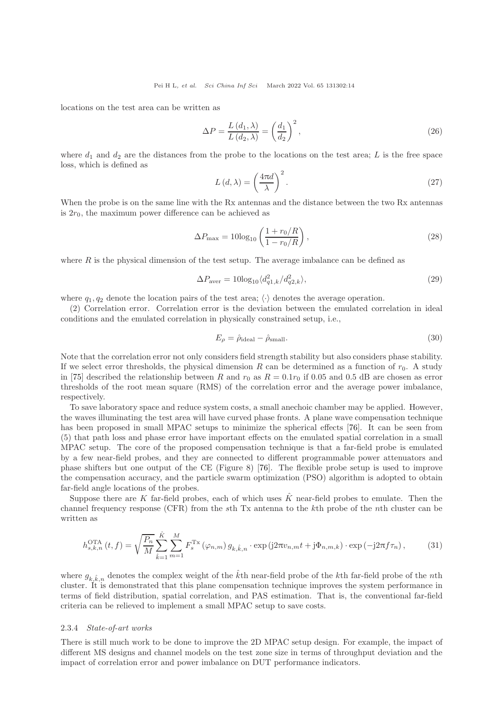locations on the test area can be written as

$$
\Delta P = \frac{L\left(d_1, \lambda\right)}{L\left(d_2, \lambda\right)} = \left(\frac{d_1}{d_2}\right)^2,\tag{26}
$$

where  $d_1$  and  $d_2$  are the distances from the probe to the locations on the test area; L is the free space loss, which is defined as

$$
L(d,\lambda) = \left(\frac{4\pi d}{\lambda}\right)^2.
$$
\n(27)

When the probe is on the same line with the Rx antennas and the distance between the two Rx antennas is  $2r_0$ , the maximum power difference can be achieved as

$$
\Delta P_{\text{max}} = 10 \log_{10} \left( \frac{1 + r_0/R}{1 - r_0/R} \right),\tag{28}
$$

where  $R$  is the physical dimension of the test setup. The average imbalance can be defined as

$$
\Delta P_{\text{aver}} = 10 \log_{10} \langle d_{q1,k}^2 / d_{q2,k}^2 \rangle,\tag{29}
$$

where  $q_1, q_2$  denote the location pairs of the test area;  $\langle \cdot \rangle$  denotes the average operation.

(2) Correlation error. Correlation error is the deviation between the emulated correlation in ideal conditions and the emulated correlation in physically constrained setup, i.e.,

$$
E_{\rho} = \hat{\rho}_{\text{ideal}} - \hat{\rho}_{\text{small}}.\tag{30}
$$

Note that the correlation error not only considers field strength stability but also considers phase stability. If we select error thresholds, the physical dimension R can be determined as a function of  $r_0$ . A study in [\[75\]](#page-25-28) described the relationship between R and  $r_0$  as  $R = 0.1r_0$  if 0.05 and 0.5 dB are chosen as error thresholds of the root mean square (RMS) of the correlation error and the average power imbalance, respectively.

To save laboratory space and reduce system costs, a small anechoic chamber may be applied. However, the waves illuminating the test area will have curved phase fronts. A plane wave compensation technique has been proposed in small MPAC setups to minimize the spherical effects [\[76\]](#page-25-29). It can be seen from (5) that path loss and phase error have important effects on the emulated spatial correlation in a small MPAC setup. The core of the proposed compensation technique is that a far-field probe is emulated by a few near-field probes, and they are connected to different programmable power attenuators and phase shifters but one output of the CE (Figure 8) [\[76\]](#page-25-29). The flexible probe setup is used to improve the compensation accuracy, and the particle swarm optimization (PSO) algorithm is adopted to obtain far-field angle locations of the probes.

Suppose there are K far-field probes, each of which uses  $\hat{K}$  near-field probes to emulate. Then the channel frequency response (CFR) from the sth Tx antenna to the kth probe of the nth cluster can be written as

$$
h_{s,k,n}^{\text{OTA}}(t,f) = \sqrt{\frac{P_n}{M}} \sum_{\hat{k}=1}^{\hat{K}} \sum_{m=1}^{M} F_s^{\text{Tx}}(\varphi_{n,m}) g_{k,\hat{k},n} \cdot \exp(j2\pi v_{n,m}t + j\Phi_{n,m,k}) \cdot \exp(-j2\pi f\tau_n), \tag{31}
$$

where  $g_{k,k,n}$  denotes the complex weight of the  $k$ th near-field probe of the kth far-field probe of the nth cluster. It is demonstrated that this plane compensation technique improves the system performance in terms of field distribution, spatial correlation, and PAS estimation. That is, the conventional far-field criteria can be relieved to implement a small MPAC setup to save costs.

#### 2.3.4 State-of-art works

There is still much work to be done to improve the 2D MPAC setup design. For example, the impact of different MS designs and channel models on the test zone size in terms of throughput deviation and the impact of correlation error and power imbalance on DUT performance indicators.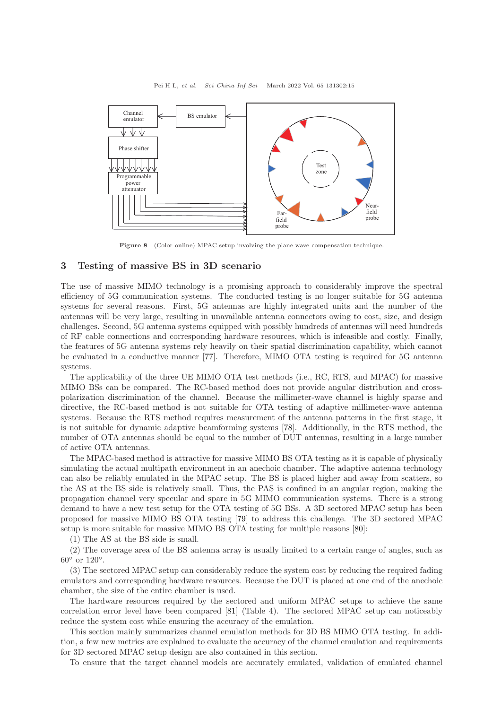

Figure 8 (Color online) MPAC setup involving the plane wave compensation technique.

# 3 Testing of massive BS in 3D scenario

The use of massive MIMO technology is a promising approach to considerably improve the spectral efficiency of 5G communication systems. The conducted testing is no longer suitable for 5G antenna systems for several reasons. First, 5G antennas are highly integrated units and the number of the antennas will be very large, resulting in unavailable antenna connectors owing to cost, size, and design challenges. Second, 5G antenna systems equipped with possibly hundreds of antennas will need hundreds of RF cable connections and corresponding hardware resources, which is infeasible and costly. Finally, the features of 5G antenna systems rely heavily on their spatial discrimination capability, which cannot be evaluated in a conductive manner [\[77\]](#page-26-1). Therefore, MIMO OTA testing is required for 5G antenna systems.

The applicability of the three UE MIMO OTA test methods (i.e., RC, RTS, and MPAC) for massive MIMO BSs can be compared. The RC-based method does not provide angular distribution and crosspolarization discrimination of the channel. Because the millimeter-wave channel is highly sparse and directive, the RC-based method is not suitable for OTA testing of adaptive millimeter-wave antenna systems. Because the RTS method requires measurement of the antenna patterns in the first stage, it is not suitable for dynamic adaptive beamforming systems [\[78\]](#page-26-2). Additionally, in the RTS method, the number of OTA antennas should be equal to the number of DUT antennas, resulting in a large number of active OTA antennas.

The MPAC-based method is attractive for massive MIMO BS OTA testing as it is capable of physically simulating the actual multipath environment in an anechoic chamber. The adaptive antenna technology can also be reliably emulated in the MPAC setup. The BS is placed higher and away from scatters, so the AS at the BS side is relatively small. Thus, the PAS is confined in an angular region, making the propagation channel very specular and spare in 5G MIMO communication systems. There is a strong demand to have a new test setup for the OTA testing of 5G BSs. A 3D sectored MPAC setup has been proposed for massive MIMO BS OTA testing [\[79\]](#page-26-3) to address this challenge. The 3D sectored MPAC setup is more suitable for massive MIMO BS OTA testing for multiple reasons [\[80\]](#page-26-4):

(1) The AS at the BS side is small.

(2) The coverage area of the BS antenna array is usually limited to a certain range of angles, such as  $60^{\circ}$  or  $120^{\circ}$ .

(3) The sectored MPAC setup can considerably reduce the system cost by reducing the required fading emulators and corresponding hardware resources. Because the DUT is placed at one end of the anechoic chamber, the size of the entire chamber is used.

The hardware resources required by the sectored and uniform MPAC setups to achieve the same correlation error level have been compared [\[81\]](#page-26-5) (Table [4\)](#page-15-0). The sectored MPAC setup can noticeably reduce the system cost while ensuring the accuracy of the emulation.

This section mainly summarizes channel emulation methods for 3D BS MIMO OTA testing. In addition, a few new metrics are explained to evaluate the accuracy of the channel emulation and requirements for 3D sectored MPAC setup design are also contained in this section.

To ensure that the target channel models are accurately emulated, validation of emulated channel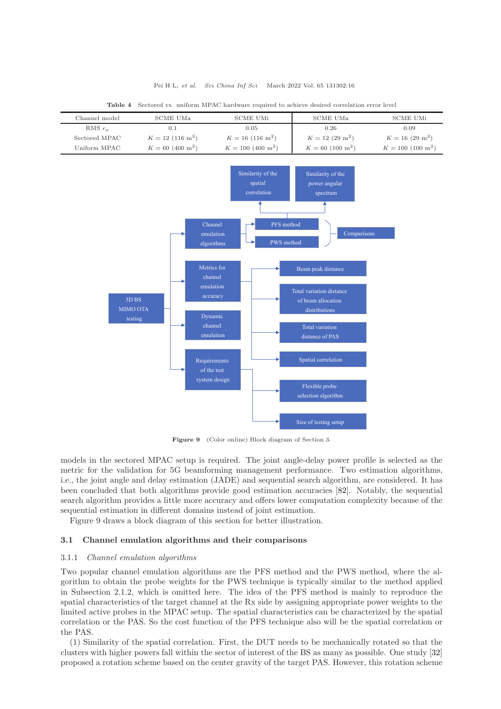<span id="page-15-0"></span>

| Channel model                | <b>SCME UMa</b>                | <b>SCME UMi</b>                                                                                                                                                                                                                                     | <b>SCME UMa</b>                                                                                                                                                                                                                                                                              | <b>SCME UMi</b>           |
|------------------------------|--------------------------------|-----------------------------------------------------------------------------------------------------------------------------------------------------------------------------------------------------------------------------------------------------|----------------------------------------------------------------------------------------------------------------------------------------------------------------------------------------------------------------------------------------------------------------------------------------------|---------------------------|
| RMS $e_{\rho}$               | 0.1                            | 0.05                                                                                                                                                                                                                                                | 0.26                                                                                                                                                                                                                                                                                         | 0.09                      |
| Sectored MPAC                | $K = 12$ (116 m <sup>2</sup> ) | $K = 16$ (116 m <sup>2</sup> )                                                                                                                                                                                                                      | $K = 12 (29 \text{ m}^2)$                                                                                                                                                                                                                                                                    | $K = 16 (29 \text{ m}^2)$ |
| Uniform MPAC                 | $K = 60 (400 m2)$              | $K = 100~(400~{\rm m}^2)$                                                                                                                                                                                                                           | $K = 60 (100 m2)$                                                                                                                                                                                                                                                                            | $K = 100 (100 m2)$        |
| 3D BS<br>MIMO OTA<br>testing |                                | Similarity of the<br>spatial<br>correlation<br>PFS method<br>Channel<br>emulation<br>PWS method<br>algorithms<br>Metrics for<br>channel<br>emulation<br>accuracy<br>Dynamic<br>channel<br>emulation<br>Requirements<br>of the test<br>system design | Similarity of the<br>power angular<br>spectrum<br>Comparisons<br>Beam peak distance<br>Total variation distance<br>of beam allocation<br>distributions<br><b>Total</b> variation<br>distance of PAS<br>Spatial correlation<br>Flexible probe<br>selection algorithm<br>Size of testing setup |                           |

Table 4 Sectored vs. uniform MPAC hardware required to achieve desired correlation error level

Figure 9 (Color online) Block diagram of Section 3.

models in the sectored MPAC setup is required. The joint angle-delay power profile is selected as the metric for the validation for 5G beamforming management performance. Two estimation algorithms, i.e., the joint angle and delay estimation (JADE) and sequential search algorithm, are considered. It has been concluded that both algorithms provide good estimation accuracies [\[82\]](#page-26-6). Notably, the sequential search algorithm provides a little more accuracy and offers lower computation complexity because of the sequential estimation in different domains instead of joint estimation.

Figure 9 draws a block diagram of this section for better illustration.

### 3.1 Channel emulation algorithms and their comparisons

#### 3.1.1 Channel emulation algorithms

Two popular channel emulation algorithms are the PFS method and the PWS method, where the algorithm to obtain the probe weights for the PWS technique is typically similar to the method applied in Subsection 2.1.2, which is omitted here. The idea of the PFS method is mainly to reproduce the spatial characteristics of the target channel at the Rx side by assigning appropriate power weights to the limited active probes in the MPAC setup. The spatial characteristics can be characterized by the spatial correlation or the PAS. So the cost function of the PFS technique also will be the spatial correlation or the PAS.

(1) Similarity of the spatial correlation. First, the DUT needs to be mechanically rotated so that the clusters with higher powers fall within the sector of interest of the BS as many as possible. One study [\[32\]](#page-24-22) proposed a rotation scheme based on the center gravity of the target PAS. However, this rotation scheme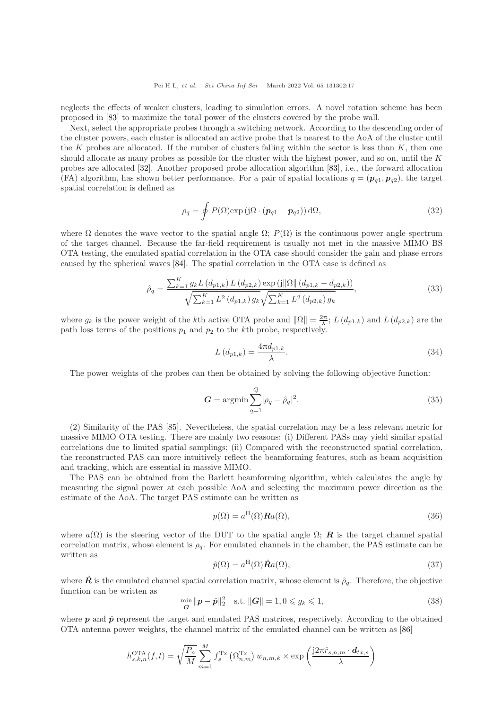neglects the effects of weaker clusters, leading to simulation errors. A novel rotation scheme has been proposed in [\[83\]](#page-26-7) to maximize the total power of the clusters covered by the probe wall.

Next, select the appropriate probes through a switching network. According to the descending order of the cluster powers, each cluster is allocated an active probe that is nearest to the AoA of the cluster until the K probes are allocated. If the number of clusters falling within the sector is less than  $K$ , then one should allocate as many probes as possible for the cluster with the highest power, and so on, until the  $K$ probes are allocated [\[32\]](#page-24-22). Another proposed probe allocation algorithm [\[83\]](#page-26-7), i.e., the forward allocation (FA) algorithm, has shown better performance. For a pair of spatial locations  $q = (\mathbf{p}_{q1}, \mathbf{p}_{q2})$ , the target spatial correlation is defined as

$$
\rho_q = \oint P(\Omega) \exp(j\Omega \cdot (\boldsymbol{p}_{q1} - \boldsymbol{p}_{q2})) d\Omega, \qquad (32)
$$

where  $\Omega$  denotes the wave vector to the spatial angle  $\Omega$ ;  $P(\Omega)$  is the continuous power angle spectrum of the target channel. Because the far-field requirement is usually not met in the massive MIMO BS OTA testing, the emulated spatial correlation in the OTA case should consider the gain and phase errors caused by the spherical waves [\[84\]](#page-26-8). The spatial correlation in the OTA case is defined as

$$
\hat{\rho}_q = \frac{\sum_{k=1}^K g_k L(d_{p1,k}) L(d_{p2,k}) \exp(j||\Omega|| (d_{p1,k} - d_{p2,k}))}{\sqrt{\sum_{k=1}^K L^2(d_{p1,k}) g_k} \sqrt{\sum_{k=1}^K L^2(d_{p2,k}) g_k}},
$$
\n(33)

where  $g_k$  is the power weight of the kth active OTA probe and  $\|\Omega\| = \frac{2\pi}{\lambda}$ ;  $L(d_{p1,k})$  and  $L(d_{p2,k})$  are the path loss terms of the positions  $p_1$  and  $p_2$  to the kth probe, respectively.

$$
L(d_{p1,k}) = \frac{4\pi d_{p1,k}}{\lambda}.
$$
\n(34)

The power weights of the probes can then be obtained by solving the following objective function:

$$
G = \operatorname{argmin} \sum_{q=1}^{Q} |\rho_q - \hat{\rho}_q|^2.
$$
\n(35)

(2) Similarity of the PAS [\[85\]](#page-26-9). Nevertheless, the spatial correlation may be a less relevant metric for massive MIMO OTA testing. There are mainly two reasons: (i) Different PASs may yield similar spatial correlations due to limited spatial samplings; (ii) Compared with the reconstructed spatial correlation, the reconstructed PAS can more intuitively reflect the beamforming features, such as beam acquisition and tracking, which are essential in massive MIMO.

The PAS can be obtained from the Barlett beamforming algorithm, which calculates the angle by measuring the signal power at each possible AoA and selecting the maximum power direction as the estimate of the AoA. The target PAS estimate can be written as

$$
p(\Omega) = a^{\mathrm{H}}(\Omega) \mathbf{R} a(\Omega),\tag{36}
$$

where  $a(\Omega)$  is the steering vector of the DUT to the spatial angle  $\Omega$ ; **R** is the target channel spatial correlation matrix, whose element is  $\rho_q$ . For emulated channels in the chamber, the PAS estimate can be written as

$$
\hat{p}(\Omega) = a^{\mathrm{H}}(\Omega)\hat{R}a(\Omega),\tag{37}
$$

where  $\hat{\mathbf{R}}$  is the emulated channel spatial correlation matrix, whose element is  $\hat{\rho}_q$ . Therefore, the objective function can be written as

$$
\min_{\mathbf{G}} \|\mathbf{p} - \hat{\mathbf{p}}\|_2^2 \quad \text{s.t. } \|\mathbf{G}\| = 1, 0 \le g_k \le 1,
$$
\n(38)

where  $p$  and  $\hat{p}$  represent the target and emulated PAS matrices, respectively. According to the obtained OTA antenna power weights, the channel matrix of the emulated channel can be written as [\[86\]](#page-26-10)

$$
h_{s,k,n}^{\text{OTA}}(f,t) = \sqrt{\frac{P_n}{M}} \sum_{m=1}^{M} f_s^{\text{Tx}} \left( \Omega_{n,m}^{\text{Tx}} \right) w_{n,m,k} \times \exp \left( \frac{j2\pi \hat{r}_{s,n,m} \cdot d_{tx,s}}{\lambda} \right)
$$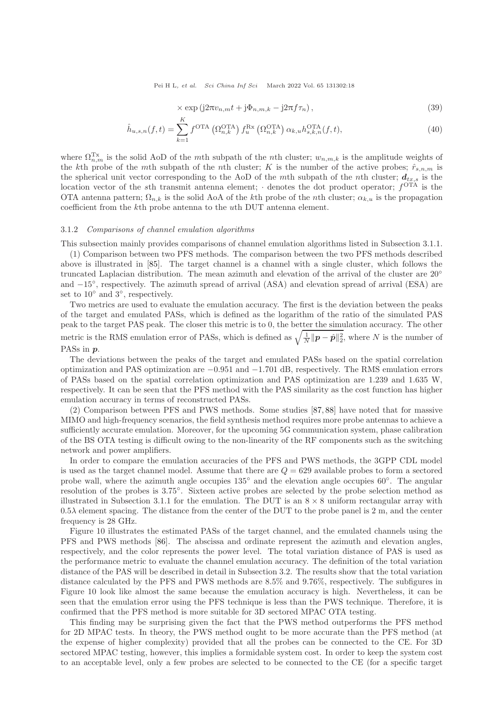$$
\times \exp(j2\pi v_{n,m}t + j\Phi_{n,m,k} - j2\pi f\tau_n), \qquad (39)
$$

$$
\hat{h}_{u,s,n}(f,t) = \sum_{k=1}^{K} f^{\text{OTA}}\left(\Omega_{n,k}^{\text{OTA}}\right) f_u^{\text{Rx}}\left(\Omega_{n,k}^{\text{OTA}}\right) \alpha_{k,u} h_{s,k,n}^{\text{OTA}}(f,t),\tag{40}
$$

where  $\Omega_{n,m}^{\mathrm{Tx}}$  is the solid AoD of the mth subpath of the nth cluster;  $w_{n,m,k}$  is the amplitude weights of the kth probe of the mth subpath of the nth cluster; K is the number of the active probes;  $\hat{r}_{s,n,m}$  is the spherical unit vector corresponding to the AoD of the mth subpath of the nth cluster;  $d_{tx,s}$  is the location vector of the sth transmit antenna element;  $\cdot$  denotes the dot product operator;  $f^{\text{OTA}}$  is the OTA antenna pattern;  $\Omega_{n,k}$  is the solid AoA of the kth probe of the nth cluster;  $\alpha_{k,u}$  is the propagation coefficient from the kth probe antenna to the uth DUT antenna element.

## 3.1.2 Comparisons of channel emulation algorithms

 $\overline{r}$ 

This subsection mainly provides comparisons of channel emulation algorithms listed in Subsection 3.1.1.

(1) Comparison between two PFS methods. The comparison between the two PFS methods described above is illustrated in [\[85\]](#page-26-9). The target channel is a channel with a single cluster, which follows the truncated Laplacian distribution. The mean azimuth and elevation of the arrival of the cluster are 20° and −15◦ , respectively. The azimuth spread of arrival (ASA) and elevation spread of arrival (ESA) are set to 10<sup>°</sup> and 3<sup>°</sup>, respectively.

Two metrics are used to evaluate the emulation accuracy. The first is the deviation between the peaks of the target and emulated PASs, which is defined as the logarithm of the ratio of the simulated PAS peak to the target PAS peak. The closer this metric is to 0, the better the simulation accuracy. The other metric is the RMS emulation error of PASs, which is defined as  $\sqrt{\frac{1}{N} ||p - \hat{p}||_2^2}$ , where N is the number of PASs in  $p$ .

The deviations between the peaks of the target and emulated PASs based on the spatial correlation optimization and PAS optimization are −0.951 and −1.701 dB, respectively. The RMS emulation errors of PASs based on the spatial correlation optimization and PAS optimization are 1.239 and 1.635 W, respectively. It can be seen that the PFS method with the PAS similarity as the cost function has higher emulation accuracy in terms of reconstructed PASs.

(2) Comparison between PFS and PWS methods. Some studies [\[87,](#page-26-11) [88\]](#page-26-12) have noted that for massive MIMO and high-frequency scenarios, the field synthesis method requires more probe antennas to achieve a sufficiently accurate emulation. Moreover, for the upcoming 5G communication system, phase calibration of the BS OTA testing is difficult owing to the non-linearity of the RF components such as the switching network and power amplifiers.

In order to compare the emulation accuracies of the PFS and PWS methods, the 3GPP CDL model is used as the target channel model. Assume that there are  $Q = 629$  available probes to form a sectored probe wall, where the azimuth angle occupies  $135°$  and the elevation angle occupies 60°. The angular resolution of the probes is 3.75◦ . Sixteen active probes are selected by the probe selection method as illustrated in Subsection 3.1.1 for the emulation. The DUT is an  $8 \times 8$  uniform rectangular array with  $0.5\lambda$  element spacing. The distance from the center of the DUT to the probe panel is 2 m, and the center frequency is 28 GHz.

Figure 10 illustrates the estimated PASs of the target channel, and the emulated channels using the PFS and PWS methods [\[86\]](#page-26-10). The abscissa and ordinate represent the azimuth and elevation angles, respectively, and the color represents the power level. The total variation distance of PAS is used as the performance metric to evaluate the channel emulation accuracy. The definition of the total variation distance of the PAS will be described in detail in Subsection 3.2. The results show that the total variation distance calculated by the PFS and PWS methods are 8.5% and 9.76%, respectively. The subfigures in Figure 10 look like almost the same because the emulation accuracy is high. Nevertheless, it can be seen that the emulation error using the PFS technique is less than the PWS technique. Therefore, it is confirmed that the PFS method is more suitable for 3D sectored MPAC OTA testing.

This finding may be surprising given the fact that the PWS method outperforms the PFS method for 2D MPAC tests. In theory, the PWS method ought to be more accurate than the PFS method (at the expense of higher complexity) provided that all the probes can be connected to the CE. For 3D sectored MPAC testing, however, this implies a formidable system cost. In order to keep the system cost to an acceptable level, only a few probes are selected to be connected to the CE (for a specific target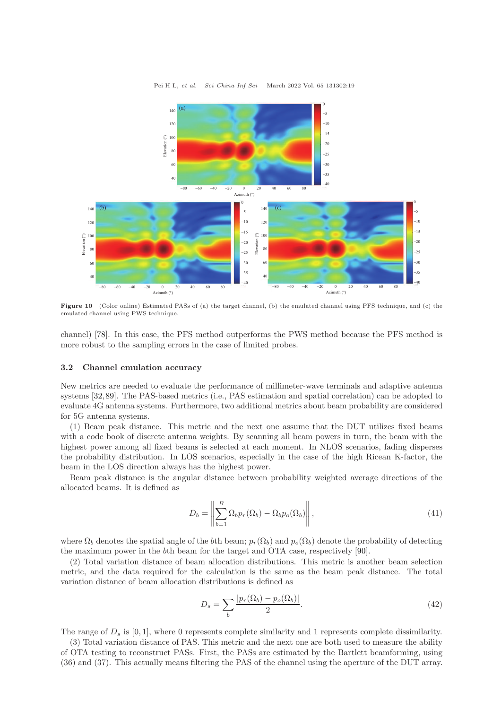

Figure 10 (Color online) Estimated PASs of (a) the target channel, (b) the emulated channel using PFS technique, and (c) the emulated channel using PWS technique.

channel) [\[78\]](#page-26-2). In this case, the PFS method outperforms the PWS method because the PFS method is more robust to the sampling errors in the case of limited probes.

# 3.2 Channel emulation accuracy

New metrics are needed to evaluate the performance of millimeter-wave terminals and adaptive antenna systems [\[32,](#page-24-22)[89\]](#page-26-13). The PAS-based metrics (i.e., PAS estimation and spatial correlation) can be adopted to evaluate 4G antenna systems. Furthermore, two additional metrics about beam probability are considered for 5G antenna systems.

(1) Beam peak distance. This metric and the next one assume that the DUT utilizes fixed beams with a code book of discrete antenna weights. By scanning all beam powers in turn, the beam with the highest power among all fixed beams is selected at each moment. In NLOS scenarios, fading disperses the probability distribution. In LOS scenarios, especially in the case of the high Ricean K-factor, the beam in the LOS direction always has the highest power.

Beam peak distance is the angular distance between probability weighted average directions of the allocated beams. It is defined as

$$
D_b = \left\| \sum_{b=1}^{B} \Omega_b p_r(\Omega_b) - \Omega_b p_o(\Omega_b) \right\|,
$$
\n(41)

where  $\Omega_b$  denotes the spatial angle of the bth beam;  $p_r(\Omega_b)$  and  $p_o(\Omega_b)$  denote the probability of detecting the maximum power in the bth beam for the target and OTA case, respectively [\[90\]](#page-26-14).

(2) Total variation distance of beam allocation distributions. This metric is another beam selection metric, and the data required for the calculation is the same as the beam peak distance. The total variation distance of beam allocation distributions is defined as

$$
D_s = \sum_b \frac{|p_r(\Omega_b) - p_o(\Omega_b)|}{2}.\tag{42}
$$

The range of  $D_s$  is [0, 1], where 0 represents complete similarity and 1 represents complete dissimilarity.

(3) Total variation distance of PAS. This metric and the next one are both used to measure the ability of OTA testing to reconstruct PASs. First, the PASs are estimated by the Bartlett beamforming, using (36) and (37). This actually means filtering the PAS of the channel using the aperture of the DUT array.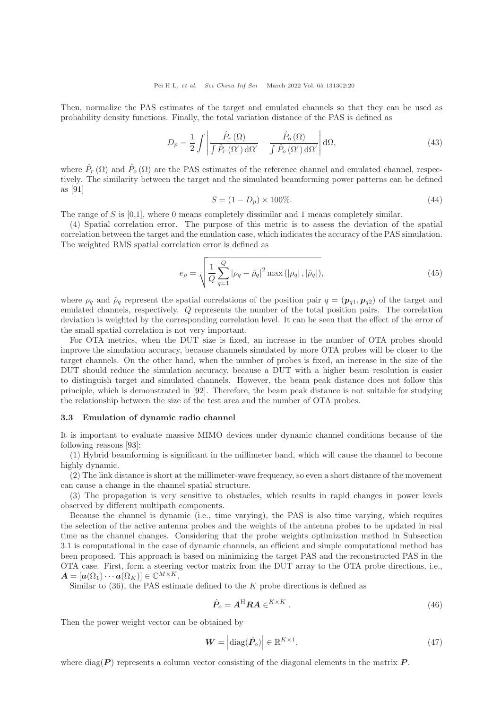Then, normalize the PAS estimates of the target and emulated channels so that they can be used as probability density functions. Finally, the total variation distance of the PAS is defined as

$$
D_p = \frac{1}{2} \int \left| \frac{\hat{P}_r(\Omega)}{\int \hat{P}_r(\Omega') d\Omega'} - \frac{\hat{P}_o(\Omega)}{\int \hat{P}_o(\Omega') d\Omega'} \right| d\Omega, \tag{43}
$$

where  $\hat{P}_r(\Omega)$  and  $\hat{P}_o(\Omega)$  are the PAS estimates of the reference channel and emulated channel, respectively. The similarity between the target and the simulated beamforming power patterns can be defined as [\[91\]](#page-26-15)

$$
S = (1 - D_p) \times 100\%.
$$
 (44)

The range of S is  $[0,1]$ , where 0 means completely dissimilar and 1 means completely similar.

(4) Spatial correlation error. The purpose of this metric is to assess the deviation of the spatial correlation between the target and the emulation case, which indicates the accuracy of the PAS simulation. The weighted RMS spatial correlation error is defined as

$$
e_{\rho} = \sqrt{\frac{1}{Q} \sum_{q=1}^{Q} |\rho_q - \hat{\rho}_q|^2 \max(|\rho_q|, |\hat{\rho}_q|)},
$$
\n(45)

where  $\rho_q$  and  $\hat{\rho}_q$  represent the spatial correlations of the position pair  $q = (\mathbf{p}_{q1}, \mathbf{p}_{q2})$  of the target and emulated channels, respectively. Q represents the number of the total position pairs. The correlation deviation is weighted by the corresponding correlation level. It can be seen that the effect of the error of the small spatial correlation is not very important.

For OTA metrics, when the DUT size is fixed, an increase in the number of OTA probes should improve the simulation accuracy, because channels simulated by more OTA probes will be closer to the target channels. On the other hand, when the number of probes is fixed, an increase in the size of the DUT should reduce the simulation accuracy, because a DUT with a higher beam resolution is easier to distinguish target and simulated channels. However, the beam peak distance does not follow this principle, which is demonstrated in [\[92\]](#page-26-16). Therefore, the beam peak distance is not suitable for studying the relationship between the size of the test area and the number of OTA probes.

### 3.3 Emulation of dynamic radio channel

It is important to evaluate massive MIMO devices under dynamic channel conditions because of the following reasons [\[93\]](#page-26-17):

(1) Hybrid beamforming is significant in the millimeter band, which will cause the channel to become highly dynamic.

(2) The link distance is short at the millimeter-wave frequency, so even a short distance of the movement can cause a change in the channel spatial structure.

(3) The propagation is very sensitive to obstacles, which results in rapid changes in power levels observed by different multipath components.

Because the channel is dynamic (i.e., time varying), the PAS is also time varying, which requires the selection of the active antenna probes and the weights of the antenna probes to be updated in real time as the channel changes. Considering that the probe weights optimization method in Subsection 3.1 is computational in the case of dynamic channels, an efficient and simple computational method has been proposed. This approach is based on minimizing the target PAS and the reconstructed PAS in the OTA case. First, form a steering vector matrix from the DUT array to the OTA probe directions, i.e.,  $\boldsymbol{A} = [\boldsymbol{a}(\Omega_1) \cdots \boldsymbol{a}(\Omega_K)] \in \mathbb{C}^{M \times K}.$ 

Similar to  $(36)$ , the PAS estimate defined to the K probe directions is defined as

$$
\hat{P}_o = A^{\mathrm{H}} R A \in K^{ \times K} . \tag{46}
$$

Then the power weight vector can be obtained by

$$
\boldsymbol{W} = \left| \text{diag}(\hat{\boldsymbol{P}}_o) \right| \in \mathbb{R}^{K \times 1},\tag{47}
$$

where diag( $P$ ) represents a column vector consisting of the diagonal elements in the matrix  $P$ .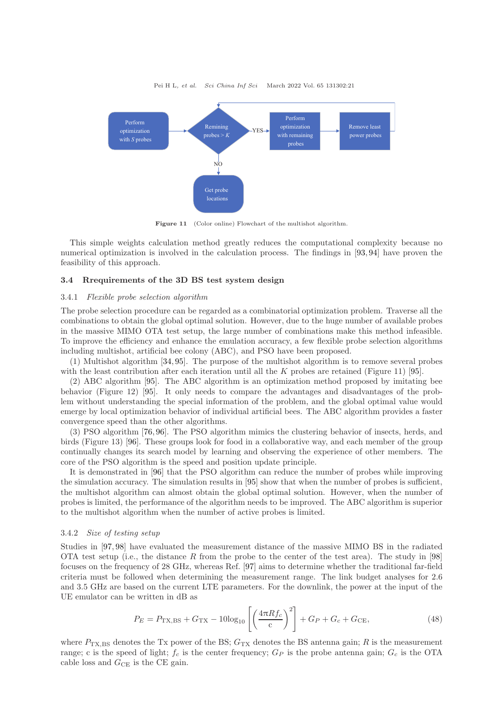

Figure 11 (Color online) Flowchart of the multishot algorithm.

This simple weights calculation method greatly reduces the computational complexity because no numerical optimization is involved in the calculation process. The findings in [\[93,](#page-26-17) [94\]](#page-26-18) have proven the feasibility of this approach.

### 3.4 Rrequirements of the 3D BS test system design

#### 3.4.1 Flexible probe selection algorithm

The probe selection procedure can be regarded as a combinatorial optimization problem. Traverse all the combinations to obtain the global optimal solution. However, due to the huge number of available probes in the massive MIMO OTA test setup, the large number of combinations make this method infeasible. To improve the efficiency and enhance the emulation accuracy, a few flexible probe selection algorithms including multishot, artificial bee colony (ABC), and PSO have been proposed.

(1) Multishot algorithm [\[34,](#page-24-24) [95\]](#page-26-19). The purpose of the multishot algorithm is to remove several probes with the least contribution after each iteration until all the K probes are retained (Figure 11) [\[95\]](#page-26-19).

(2) ABC algorithm [\[95\]](#page-26-19). The ABC algorithm is an optimization method proposed by imitating bee behavior (Figure 12) [\[95\]](#page-26-19). It only needs to compare the advantages and disadvantages of the problem without understanding the special information of the problem, and the global optimal value would emerge by local optimization behavior of individual artificial bees. The ABC algorithm provides a faster convergence speed than the other algorithms.

(3) PSO algorithm [\[76,](#page-25-29) [96\]](#page-26-20). The PSO algorithm mimics the clustering behavior of insects, herds, and birds (Figure 13) [\[96\]](#page-26-20). These groups look for food in a collaborative way, and each member of the group continually changes its search model by learning and observing the experience of other members. The core of the PSO algorithm is the speed and position update principle.

It is demonstrated in [\[96\]](#page-26-20) that the PSO algorithm can reduce the number of probes while improving the simulation accuracy. The simulation results in [\[95\]](#page-26-19) show that when the number of probes is sufficient, the multishot algorithm can almost obtain the global optimal solution. However, when the number of probes is limited, the performance of the algorithm needs to be improved. The ABC algorithm is superior to the multishot algorithm when the number of active probes is limited.

#### 3.4.2 Size of testing setup

Studies in [\[97,](#page-26-21) [98\]](#page-26-22) have evaluated the measurement distance of the massive MIMO BS in the radiated OTA test setup (i.e., the distance R from the probe to the center of the test area). The study in [\[98\]](#page-26-22) focuses on the frequency of 28 GHz, whereas Ref. [\[97\]](#page-26-21) aims to determine whether the traditional far-field criteria must be followed when determining the measurement range. The link budget analyses for 2.6 and 3.5 GHz are based on the current LTE parameters. For the downlink, the power at the input of the UE emulator can be written in dB as

$$
P_E = P_{\text{TX,BS}} + G_{\text{TX}} - 10\log_{10}\left[\left(\frac{4\pi Rf_c}{c}\right)^2\right] + G_P + G_c + G_{\text{CE}},\tag{48}
$$

where  $P_{\text{TX,BS}}$  denotes the Tx power of the BS;  $G_{\text{TX}}$  denotes the BS antenna gain; R is the measurement range; c is the speed of light;  $f_c$  is the center frequency;  $G_P$  is the probe antenna gain;  $G_c$  is the OTA cable loss and  $G_{\text{CE}}$  is the CE gain.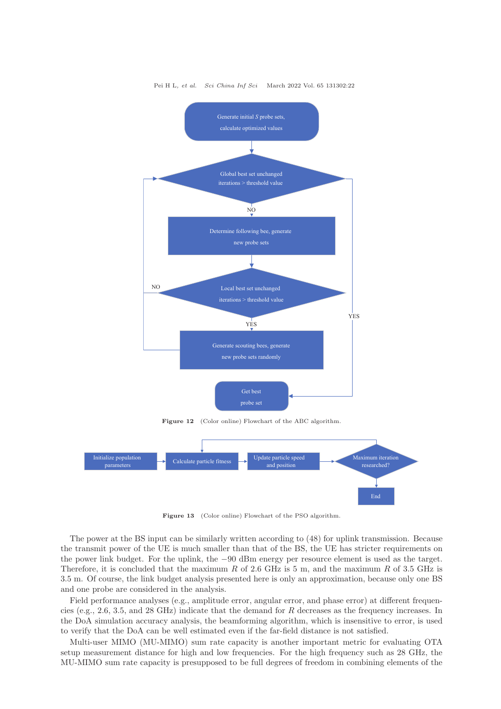

Figure 13 (Color online) Flowchart of the PSO algorithm.

End

The power at the BS input can be similarly written according to (48) for uplink transmission. Because the transmit power of the UE is much smaller than that of the BS, the UE has stricter requirements on the power link budget. For the uplink, the −90 dBm energy per resource element is used as the target. Therefore, it is concluded that the maximum R of 2.6 GHz is 5 m, and the maximum R of 3.5 GHz is 3.5 m. Of course, the link budget analysis presented here is only an approximation, because only one BS and one probe are considered in the analysis.

Field performance analyses (e.g., amplitude error, angular error, and phase error) at different frequencies (e.g., 2.6, 3.5, and 28 GHz) indicate that the demand for R decreases as the frequency increases. In the DoA simulation accuracy analysis, the beamforming algorithm, which is insensitive to error, is used to verify that the DoA can be well estimated even if the far-field distance is not satisfied.

Multi-user MIMO (MU-MIMO) sum rate capacity is another important metric for evaluating OTA setup measurement distance for high and low frequencies. For the high frequency such as 28 GHz, the MU-MIMO sum rate capacity is presupposed to be full degrees of freedom in combining elements of the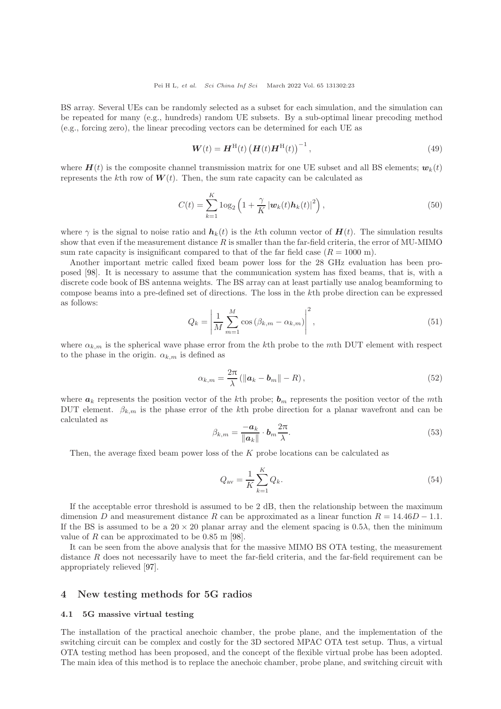BS array. Several UEs can be randomly selected as a subset for each simulation, and the simulation can be repeated for many (e.g., hundreds) random UE subsets. By a sub-optimal linear precoding method (e.g., forcing zero), the linear precoding vectors can be determined for each UE as

$$
W(t) = H^{\rm H}(t) (H(t)H^{\rm H}(t))^{-1},
$$
\n(49)

where  $H(t)$  is the composite channel transmission matrix for one UE subset and all BS elements;  $w_k(t)$ represents the kth row of  $W(t)$ . Then, the sum rate capacity can be calculated as

$$
C(t) = \sum_{k=1}^{K} \log_2 \left( 1 + \frac{\gamma}{K} \left| \boldsymbol{w}_k(t) \boldsymbol{h}_k(t) \right|^2 \right), \tag{50}
$$

where  $\gamma$  is the signal to noise ratio and  $h_k(t)$  is the kth column vector of  $H(t)$ . The simulation results show that even if the measurement distance  $R$  is smaller than the far-field criteria, the error of MU-MIMO sum rate capacity is insignificant compared to that of the far field case  $(R = 1000 \text{ m})$ .

Another important metric called fixed beam power loss for the 28 GHz evaluation has been proposed [\[98\]](#page-26-22). It is necessary to assume that the communication system has fixed beams, that is, with a discrete code book of BS antenna weights. The BS array can at least partially use analog beamforming to compose beams into a pre-defined set of directions. The loss in the kth probe direction can be expressed as follows:

$$
Q_k = \left| \frac{1}{M} \sum_{m=1}^{M} \cos \left( \beta_{k,m} - \alpha_{k,m} \right) \right|^2, \qquad (51)
$$

where  $\alpha_{k,m}$  is the spherical wave phase error from the kth probe to the mth DUT element with respect to the phase in the origin.  $\alpha_{k,m}$  is defined as

$$
\alpha_{k,m} = \frac{2\pi}{\lambda} \left( \|\boldsymbol{a}_k - \boldsymbol{b}_m\| - R \right),\tag{52}
$$

where  $a_k$  represents the position vector of the kth probe;  $b_m$  represents the position vector of the mth DUT element.  $\beta_{k,m}$  is the phase error of the kth probe direction for a planar wavefront and can be calculated as

$$
\beta_{k,m} = \frac{-a_k}{\|a_k\|} \cdot b_m \frac{2\pi}{\lambda}.
$$
\n(53)

Then, the average fixed beam power loss of the K probe locations can be calculated as

$$
Q_{\rm av} = \frac{1}{K} \sum_{k=1}^{K} Q_k.
$$
 (54)

If the acceptable error threshold is assumed to be 2 dB, then the relationship between the maximum dimension D and measurement distance R can be approximated as a linear function  $R = 14.46D - 1.1$ . If the BS is assumed to be a  $20 \times 20$  planar array and the element spacing is  $0.5\lambda$ , then the minimum value of R can be approximated to be 0.85 m [\[98\]](#page-26-22).

It can be seen from the above analysis that for the massive MIMO BS OTA testing, the measurement distance  $R$  does not necessarily have to meet the far-field criteria, and the far-field requirement can be appropriately relieved [\[97\]](#page-26-21).

# 4 New testing methods for 5G radios

### 4.1 5G massive virtual testing

The installation of the practical anechoic chamber, the probe plane, and the implementation of the switching circuit can be complex and costly for the 3D sectored MPAC OTA test setup. Thus, a virtual OTA testing method has been proposed, and the concept of the flexible virtual probe has been adopted. The main idea of this method is to replace the anechoic chamber, probe plane, and switching circuit with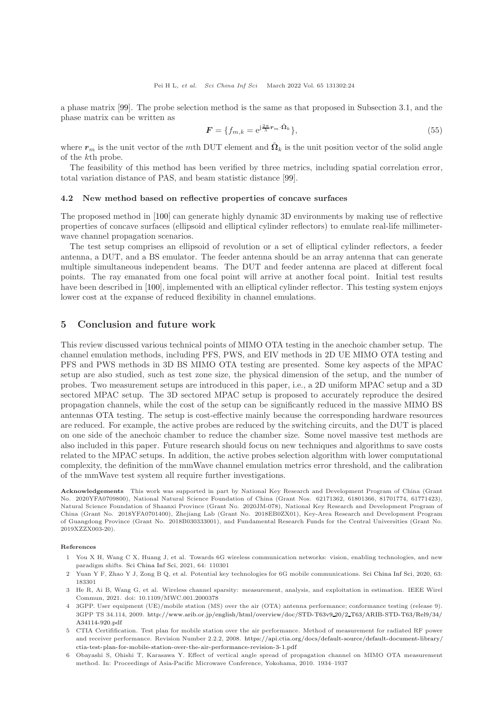a phase matrix [\[99\]](#page-26-23). The probe selection method is the same as that proposed in Subsection 3.1, and the phase matrix can be written as

$$
\mathbf{F} = \{ f_{m,k} = e^{j\frac{2\pi}{\lambda} \mathbf{r}_m \cdot \hat{\mathbf{\Omega}}_k} \},\tag{55}
$$

where  $r_m$  is the unit vector of the mth DUT element and  $\hat{\Omega}_k$  is the unit position vector of the solid angle of the kth probe.

The feasibility of this method has been verified by three metrics, including spatial correlation error, total variation distance of PAS, and beam statistic distance [\[99\]](#page-26-23).

### 4.2 New method based on reflective properties of concave surfaces

The proposed method in [\[100\]](#page-26-24) can generate highly dynamic 3D environments by making use of reflective properties of concave surfaces (ellipsoid and elliptical cylinder reflectors) to emulate real-life millimeterwave channel propagation scenarios.

The test setup comprises an ellipsoid of revolution or a set of elliptical cylinder reflectors, a feeder antenna, a DUT, and a BS emulator. The feeder antenna should be an array antenna that can generate multiple simultaneous independent beams. The DUT and feeder antenna are placed at different focal points. The ray emanated from one focal point will arrive at another focal point. Initial test results have been described in [\[100\]](#page-26-24), implemented with an elliptical cylinder reflector. This testing system enjoys lower cost at the expanse of reduced flexibility in channel emulations.

# 5 Conclusion and future work

This review discussed various technical points of MIMO OTA testing in the anechoic chamber setup. The channel emulation methods, including PFS, PWS, and EIV methods in 2D UE MIMO OTA testing and PFS and PWS methods in 3D BS MIMO OTA testing are presented. Some key aspects of the MPAC setup are also studied, such as test zone size, the physical dimension of the setup, and the number of probes. Two measurement setups are introduced in this paper, i.e., a 2D uniform MPAC setup and a 3D sectored MPAC setup. The 3D sectored MPAC setup is proposed to accurately reproduce the desired propagation channels, while the cost of the setup can be significantly reduced in the massive MIMO BS antennas OTA testing. The setup is cost-effective mainly because the corresponding hardware resources are reduced. For example, the active probes are reduced by the switching circuits, and the DUT is placed on one side of the anechoic chamber to reduce the chamber size. Some novel massive test methods are also included in this paper. Future research should focus on new techniques and algorithms to save costs related to the MPAC setups. In addition, the active probes selection algorithm with lower computational complexity, the definition of the mmWave channel emulation metrics error threshold, and the calibration of the mmWave test system all require further investigations.

Acknowledgements This work was supported in part by National Key Research and Development Program of China (Grant No. 2020YFA0709800), National Natural Science Foundation of China (Grant Nos. 62171362, 61801366, 81701774, 61771423), Natural Science Foundation of Shaanxi Province (Grant No. 2020JM-078), National Key Research and Development Program of China (Grant No. 2018YFA0701400), Zhejiang Lab (Grant No. 2018EB0ZX01), Key-Area Research and Development Program of Guangdong Province (Grant No. 2018B030333001), and Fundamental Research Funds for the Central Universities (Grant No. 2019XZZX003-20).

#### <span id="page-23-0"></span>References

- 1 You X H, Wang C X, Huang J, et al. Towards 6G wireless communication networks: vision, enabling technologies, and new paradigm shifts. [Sci China Inf Sci,](https://doi.org/10.1007/s11432-020-2955-6) 2021, 64: 110301
- <span id="page-23-1"></span>2 Yuan Y F, Zhao Y J, Zong B Q, et al. Potential key technologies for 6G mobile communications. [Sci China Inf Sci,](https://doi.org/10.1007/s11432-019-2789-y) 2020, 63: 183301
- <span id="page-23-2"></span>3 He R, Ai B, Wang G, et al. Wireless channel sparsity: measurement, analysis, and exploitation in estimation. IEEE Wirel Commun, 2021. doi: 10.1109/MWC.001.2000378
- <span id="page-23-3"></span>4 3GPP. User equipment (UE)/mobile station (MS) over the air (OTA) antenna performance; conformance testing (release 9). 3GPP TS 34.114, 2009. [http://www.arib.or.jp/english/html/overview/doc/STD-T63v9](http://www.arib.or.jp/english/html/overview/doc/STD-T63v9_20/2_T63/ARIB-STD-T63/Rel9/34/A34114-920.pdf) 20/2 T63/ARIB-STD-T63/Rel9/34/ [A34114-920.pdf](http://www.arib.or.jp/english/html/overview/doc/STD-T63v9_20/2_T63/ARIB-STD-T63/Rel9/34/A34114-920.pdf)
- <span id="page-23-4"></span>5 CTIA Certifification. Test plan for mobile station over the air performance. Method of measurement for radiated RF power and receiver performance. Revision Number 2.2.2, 2008. [https://api.ctia.org/docs/default-source/default-document-library/](https://api.ctia.org/docs/default-source/default-document-library/ctia-test-plan-for-mobile-station-over-the-air-performance-revision-3-1.pdf) [ctia-test-plan-for-mobile-station-over-the-air-performance-revision-3-1.pdf](https://api.ctia.org/docs/default-source/default-document-library/ctia-test-plan-for-mobile-station-over-the-air-performance-revision-3-1.pdf)
- <span id="page-23-5"></span>6 Obayashi S, Ohishi T, Karasawa Y. Effect of vertical angle spread of propagation channel on MIMO OTA measurement method. In: Proceedings of Asia-Pacific Microwave Conference, Yokohama, 2010. 1934–1937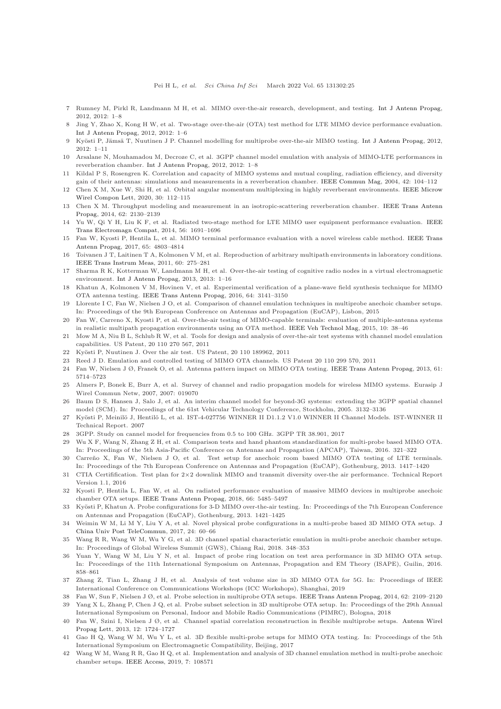- <span id="page-24-8"></span><span id="page-24-0"></span>7 Rumney M, Pirkl R, Landmann M H, et al. MIMO over-the-air research, development, and testing. [Int J Antenn Propag,](https://doi.org/10.1155/2012/467695) 2012, 2012: 1–8
- 8 Jing Y, Zhao X, Kong H W, et al. Two-stage over-the-air (OTA) test method for LTE MIMO device performance evaluation. [Int J Antenn Propag,](https://doi.org/10.1155/2012/572419) 2012, 2012: 1–6
- <span id="page-24-11"></span><span id="page-24-1"></span>Kyösti P, Jämsä T, Nuutinen J P. Channel modelling for multiprobe over-the-air MIMO testing. [Int J Antenn Propag,](https://doi.org/10.1155/2012/615954) 2012, 2012: 1–11
- <span id="page-24-2"></span>10 Arsalane N, Mouhamadou M, Decroze C, et al. 3GPP channel model emulation with analysis of MIMO-LTE performances in reverberation chamber. [Int J Antenn Propag,](https://doi.org/10.1155/2012/239420) 2012, 2012: 1–8
- 11 Kildal P S, Rosengren K. Correlation and capacity of MIMO systems and mutual coupling, radiation efficiency, and diversity gain of their antennas: simulations and measurements in a reverberation chamber. [IEEE Commun Mag,](https://doi.org/10.1109/MCOM.2004.1367562) 2004, 42: 104–112
- <span id="page-24-3"></span>12 Chen X M, Xue W, Shi H, et al. Orbital angular momentum multiplexing in highly reverberant environments. IEEE Microw Wirel Compon Lett, 2020, 30: 112–115
- 13 Chen X M. Throughput modeling and measurement in an isotropic-scattering reverberation chamber. IEEE Trans Antenn Propag, 2014, 62: 2130–2139
- <span id="page-24-5"></span><span id="page-24-4"></span>14 Yu W, Qi Y H, Liu K F, et al. Radiated two-stage method for LTE MIMO user equipment performance evaluation. IEEE Trans Electromagn Compat, 2014, 56: 1691–1696
- 15 Fan W, Kyosti P, Hentila L, et al. MIMO terminal performance evaluation with a novel wireless cable method. IEEE Trans Antenn Propag, 2017, 65: 4803–4814
- <span id="page-24-6"></span>16 Toivanen J T, Laitinen T A, Kolmonen V M, et al. Reproduction of arbitrary multipath environments in laboratory conditions. [IEEE Trans Instrum Meas,](https://doi.org/10.1109/TIM.2010.2049226) 2011, 60: 275–281
- <span id="page-24-7"></span>17 Sharma R K, Kotterman W, Landmann M H, et al. Over-the-air testing of cognitive radio nodes in a virtual electromagnetic environment. [Int J Antenn Propag,](https://doi.org/10.1155/2013/945283) 2013, 2013: 1–16
- 18 Khatun A, Kolmonen V M, Hovinen V, et al. Experimental verification of a plane-wave field synthesis technique for MIMO OTA antenna testing. [IEEE Trans Antenn Propag,](https://doi.org/10.1109/TAP.2016.2559518) 2016, 64: 3141–3150
- <span id="page-24-9"></span>19 Llorente I C, Fan W, Nielsen J O, et al. Comparison of channel emulation techniques in multiprobe anechoic chamber setups. In: Proceedings of the 9th European Conference on Antennas and Propagation (EuCAP), Lisbon, 2015
- <span id="page-24-10"></span>20 Fan W, Carreno X, Kyosti P, et al. Over-the-air testing of MIMO-capable terminals: evaluation of multiple-antenna systems in realistic multipath propagation environments using an OTA method. [IEEE Veh Technol Mag,](https://doi.org/10.1109/MVT.2015.2410314) 2015, 10: 38–46
- <span id="page-24-12"></span>21 Mow M A, Niu B L, Schlub R W, et al. Tools for design and analysis of over-the-air test systems with channel model emulation capabilities. US Patent, 20 110 270 567, 2011
- <span id="page-24-33"></span><span id="page-24-13"></span>22 Kyösti P, Nuutinen J. Over the air test. US Patent, 20 110 189962, 2011
- <span id="page-24-14"></span>23 Reed J D. Emulation and controlled testing of MIMO OTA channels. US Patent 20 110 299 570, 2011
- <span id="page-24-15"></span>24 Fan W, Nielsen J Ø, Franek O, et al. Antenna pattern impact on MIMO OTA testing. [IEEE Trans Antenn Propag,](https://doi.org/10.1109/TAP.2013.2279805) 2013, 61: 5714–5723
- 25 Almers P, Bonek E, Burr A, et al. Survey of channel and radio propagation models for wireless MIMO systems. Eurasip J Wirel Commun Netw, 2007, 2007: 019070
- <span id="page-24-16"></span>26 Baum D S, Hansen J, Salo J, et al. An interim channel model for beyond-3G systems: extending the 3GPP spatial channel model (SCM). In: Proceedings of the 61st Vehicular Technology Conference, Stockholm, 2005. 3132–3136
- <span id="page-24-17"></span>27 Kyösti P, Meinilö J, Hentilö L, et al. IST-4-027756 WINNER II D1.1.2 V1.0 WINNER II Channel Models. IST-WINNER II Technical Report. 2007
- <span id="page-24-19"></span><span id="page-24-18"></span>28 3GPP. Study on cannel model for frequencies from 0.5 to 100 GHz. 3GPP TR 38.901, 2017
- 29 Wu X F, Wang N, Zhang Z H, et al. Comparison tests and hand phantom standardization for multi-probe based MIMO OTA. In: Proceedings of the 5th Asia-Pacific Conference on Antennas and Propagation (APCAP), Taiwan, 2016. 321–322
- <span id="page-24-20"></span>Carreño X, Fan W, Nielsen J O, et al. Test setup for anechoic room based MIMO OTA testing of LTE terminals. In: Proceedings of the 7th European Conference on Antennas and Propagation (EuCAP), Gothenburg, 2013. 1417–1420
- <span id="page-24-21"></span>31 CTIA Certifification. Test plan for 2×2 downlink MIMO and transmit diversity over-the air performance. Technical Report Version 1.1, 2016
- <span id="page-24-22"></span>32 Kyosti P, Hentila L, Fan W, et al. On radiated performance evaluation of massive MIMO devices in multiprobe anechoic chamber OTA setups. [IEEE Trans Antenn Propag,](https://doi.org/10.1109/TAP.2018.2860635) 2018, 66: 5485–5497
- <span id="page-24-23"></span>33 Kyösti P, Khatun A. Probe configurations for 3-D MIMO over-the-air testing. In: Proceedings of the 7th European Conference on Antennas and Propagation (EuCAP), Gothenburg, 2013. 1421–1425
- <span id="page-24-24"></span>34 Weimin W M, Li M Y, Liu Y [A, et al. Novel physical probe configurations in a multi-probe based 3D MIMO OTA setup.](https://doi.org/10.1016/S1005-8885(17)60188-2) J China Univ Post TeleCommun, 2017, 24: 60–66
- <span id="page-24-25"></span>35 Wang R R, Wang W M, Wu Y G, et al. 3D channel spatial characteristic emulation in multi-probe anechoic chamber setups. In: Proceedings of Global Wireless Summit (GWS), Chiang Rai, 2018. 348–353
- <span id="page-24-26"></span>36 Yuan Y, Wang W M, Liu Y N, et al. Impact of probe ring location on test area performance in 3D MIMO OTA setup. In: Proceedings of the 11th International Symposium on Antennas, Propagation and EM Theory (ISAPE), Guilin, 2016. 858–861
- <span id="page-24-27"></span>37 Zhang Z, Tian L, Zhang J H, et al. Analysis of test volume size in 3D MIMO OTA for 5G. In: Proceedings of IEEE International Conference on Communications Workshops (ICC Workshops), Shanghai, 2019
- <span id="page-24-29"></span><span id="page-24-28"></span>38 Fan W, Sun F, Nielsen J Ø, et al. Probe selection in multiprobe OTA setups. [IEEE Trans Antenn Propag,](https://doi.org/10.1109/TAP.2014.2301179) 2014, 62: 2109–2120 39 Yang X L, Zhang P, Chen J Q, et al. Probe subset selection in 3D multiprobe OTA setup. In: Proceedings of the 29th Annual
- <span id="page-24-30"></span>International Symposium on Personal, Indoor and Mobile Radio Communications (PIMRC), Bologna, 2018 40 Fan W, Szini I, Nielsen J Ø, et al. Channel spatial correlation reconstruction in flexible multiprobe setups. Antenn Wirel
- <span id="page-24-31"></span>Propag Lett, 2013, 12: 1724–1727 41 Gao H Q, Wang W M, Wu Y L, et al. 3D flexible multi-probe setups for MIMO OTA testing. In: Proceedings of the 5th International Symposium on Electromagnetic Compatibility, Beijing, 2017
- <span id="page-24-32"></span>42 Wang W M, Wang R R, Gao H Q, et al. Implementation and analysis of 3D channel emulation method in multi-probe anechoic chamber setups. [IEEE Access,](https://doi.org/10.1109/ACCESS.2019.2933494) 2019, 7: 108571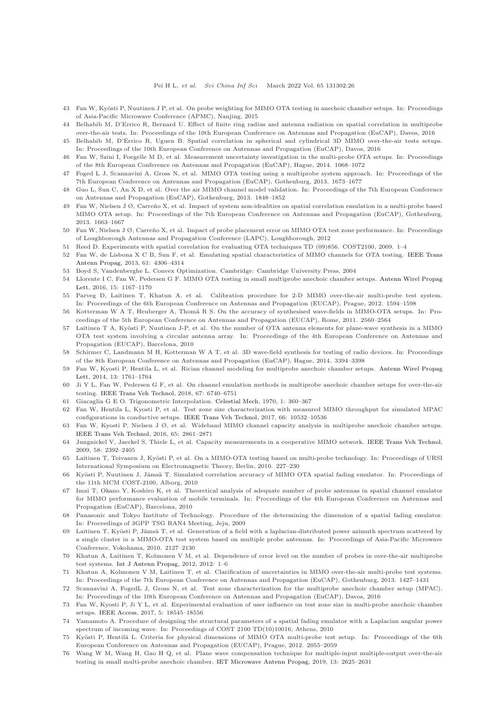- <span id="page-25-0"></span>43 Fan W, Kyösti P, Nuutinen J P, et al. On probe weighting for MIMO OTA testing in anechoic chamber setups. In: Proceedings of Asia-Pacific Microwave Conference (APMC), Nanjing, 2015
- 44 Belhabib M, D'Errico R, Bernard U. Effect of finite ring radius and antenna radiation on spatial correlation in multiprobe over-the-air tests. In: Proceedings of the 10th European Conference on Antennas and Propagation (EuCAP), Davos, 2016
- <span id="page-25-1"></span>45 Belhabib M, D'Errico R, Uguen B. Spatial correlation in spherical and cylindrical 3D MIMO over-the-air tests setups. In: Proceedings of the 10th European Conference on Antennas and Propagation (EuCAP), Davos, 2016
- <span id="page-25-3"></span><span id="page-25-2"></span>46 Fan W, Szini I, Foegelle M D, et al. Measurement uncertainty investigation in the multi-probe OTA setups. In: Proceedings of the 8th European Conference on Antennas and Propagation (EuCAP), Hague, 2014. 1068–1072
- <span id="page-25-4"></span>47 Foged L J, Scannavini A, Gross N, et al. MIMO OTA testing using a multiprobe system approach. In: Proceedings of the 7th European Conference on Antennas and Propagation (EuCAP), Gothenburg, 2013. 1673–1677
- 48 Guo L, Sun C, An X D, et al. Over the air MIMO channel model validation. In: Proceedings of the 7th European Conference on Antennas and Propagation (EuCAP), Gothenburg, 2013. 1848–1852
- <span id="page-25-5"></span>49 Fan W, Nielsen J Ø, Carreño X, et al. Impact of system non-idealities on spatial correlation emulation in a multi-probe based MIMO OTA setup. In: Proceedings of the 7th European Conference on Antennas and Propagation (EuCAP), Gothenburg, 2013. 1663–1667
- <span id="page-25-7"></span><span id="page-25-6"></span>50 Fan W, Nielsen J Ø, Carreño X, et al. Impact of probe placement error on MIMO OTA test zone performance. In: Proceedings of Loughborough Antennas and Propagation Conference (LAPC), Loughborough, 2012
- <span id="page-25-8"></span>51 Reed D. Experiments with spatial correlation for evaluating OTA techniques TD (09)856. COST2100, 2009. 1–4
- 52 Fan W, de Lisbona X C B, Sun F, et al. Emulating spatial characteristics of MIMO channels for OTA testing. IEEE Trans Antenn Propag, 2013, 61: 4306–4314
- <span id="page-25-10"></span><span id="page-25-9"></span>53 Boyd S, Vandenberghe L. Convex Optimization. Cambridge: Cambridge University Press, 2004
- 54 Llorente I C, Fan W, Pedersen G F. MIMO OTA testing in small multiprobe anechoic chamber setups. Antenn Wirel Propag Lett, 2016, 15: 1167–1170
- <span id="page-25-11"></span>55 Parveg D, Laitinen T, Khatun A, et al. Calibration procedure for 2-D MIMO over-the-air multi-probe test system. In: Proceedings of the 6th European Conference on Antennas and Propagation (EUCAP), Prague, 2012. 1594–1598
- <span id="page-25-12"></span>56 Kotterman W A T, Heuberger A, Thomä R S. On the accuracy of synthesised wave-fields in MIMO-OTA setups. In: Proceedings of the 5th European Conference on Antennas and Propagation (EUCAP), Rome, 2011. 2560–2564
- <span id="page-25-13"></span>Laitinen T A, Kyösti P, Nuutinen J-P, et al. On the number of OTA antenna elements for plane-wave synthesis in a MIMO OTA test system involving a circular antenna array. In: Proceedings of the 4th European Conference on Antennas and Propagation (EUCAP), Barcelona, 2010
- <span id="page-25-14"></span>58 Schirmer C, Landmann M H, Kotterman W A T, et al. 3D wave-field synthesis for testing of radio devices. In: Proceedings of the 8th European Conference on Antennas and Propagation (EuCAP), Hague, 2014. 3394–3398
- <span id="page-25-15"></span>59 Fan W, Kyosti P, Hentila L, et al. Rician channel modeling for multiprobe anechoic chamber setups. Antenn Wirel Propag Lett, 2014, 13: 1761–1764
- <span id="page-25-16"></span>60 Ji Y L, Fan W, Pedersen G F, et al. On channel emulation methods in multiprobe anechoic chamber setups for over-the-air testing. [IEEE Trans Veh Technol,](https://doi.org/10.1109/TVT.2018.2824403) 2018, 67: 6740–6751
- <span id="page-25-18"></span><span id="page-25-17"></span>61 Giacaglia G E O. Trigonometric Interpolation. [Celestial Mech,](https://doi.org/10.1007/BF01231141) 1970, 1: 360–367
- 62 Fan W, Hentila L, Kyosti P, et al. Test zone size characterization with measured MIMO throughput for simulated MPAC configurations in conductive setups. [IEEE Trans Veh Technol,](https://doi.org/10.1109/TVT.2017.2727258) 2017, 66: 10532–10536
- <span id="page-25-19"></span>63 Fan W, Kyosti P, Nielsen J Ø, et al. Wideband MIMO channel capacity analysis in multiprobe anechoic chamber setups. [IEEE Trans Veh Technol,](https://doi.org/10.1109/TVT.2015.2435813) 2016, 65: 2861–2871
- <span id="page-25-20"></span>64 Jungnickel V, Jaeckel S, Thiele L, et al. Capacity measurements in a cooperative MIMO network. [IEEE Trans Veh Technol,](https://doi.org/10.1109/TVT.2008.2010260) 2009, 58: 2392–2405
- <span id="page-25-21"></span>Laitinen T, Toivanen J, Kyösti P, et al. On a MIMO-OTA testing based on multi-probe technology. In: Proceedings of URSI International Symposium on Electromagnetic Theory, Berlin, 2010. 227–230
- 66 Kyösti P, Nuutinen J, Jämsä T. Simulated correlation accuracy of MIMO OTA spatial fading emulator. In: Proceedings of the 11th MCM COST-2100, Alborg, 2010
- 67 Imai T, Okano Y, Koshiro K, et al. Theoretical analysis of adequate number of probe antennas in spatial channel emulator for MIMO performance evaluation of mobile terminals. In: Proceedings of the 4th European Conference on Antennas and Propagation (EuCAP), Barcelona, 2010
- 68 Panasonic and Tokyo Institute of Technology. Procedure of the determining the dimension of a spatial fading emulator. In: Proceedings of 3GPP TSG RAN4 Meeting, Jeju, 2009
- <span id="page-25-22"></span>Laitinen T, Kyösti P, Jämsä T, et al. Generation of a field with a laplacian-distributed power azimuth spectrum scattered by a single cluster in a MIMO-OTA test system based on multiple probe antennas. In: Proceedings of Asia-Pacific Microwave Conference, Yokohama, 2010. 2127–2130
- <span id="page-25-23"></span>70 Khatun A, Laitinen T, Kolmonen V M, et al. Dependence of error level on the number of probes in over-the-air multiprobe test systems. [Int J Antenn Propag,](https://doi.org/10.1155/2012/624174) 2012, 2012: 1–6
- <span id="page-25-24"></span>71 Khatun A, Kolmonen V M, Laitinen T, et al. Clarification of uncertainties in MIMO over-the-air multi-probe test systems. In: Proceedings of the 7th European Conference on Antennas and Propagation (EuCAP), Gothenburg, 2013. 1427–1431
- <span id="page-25-25"></span>72 Scannavini A, FogedL J, Gross N, et al. Test zone characterization for the multiprobe anechoic chamber setup (MPAC). In: Proceedings of the 10th European Conference on Antennas and Propagation (EuCAP), Davos, 2016
- <span id="page-25-26"></span>73 Fan W, Kyosti P, Ji Y L, et al. Experimental evaluation of user influence on test zone size in multi-probe anechoic chamber setups. [IEEE Access,](https://doi.org/10.1109/ACCESS.2017.2748558) 2017, 5: 18545–18556
- <span id="page-25-27"></span>74 Yamamoto A. Procedure of designing the structural parameters of a spatial fading emulator with a Laplacian angular power spectrum of incoming wave. In: Proceedings of COST 2100 TD(10)10016, Athens, 2010
- <span id="page-25-28"></span>Kyösti P, Hentilä L. Criteria for physical dimensions of MIMO OTA multi-probe test setup. In: Proceedings of the 6th European Conference on Antennas and Propagation (EUCAP), Prague, 2012. 2055–2059
- <span id="page-25-29"></span>76 Wang W M, Wang H, Gao H Q, et al. Plane wave compensation technique for multiple-input multiple-output over-the-air testing in small multi-probe anechoic chamber. [IET Microwave Antenn Propag,](https://doi.org/10.1049/iet-map.2019.0036) 2019, 13: 2625–2631